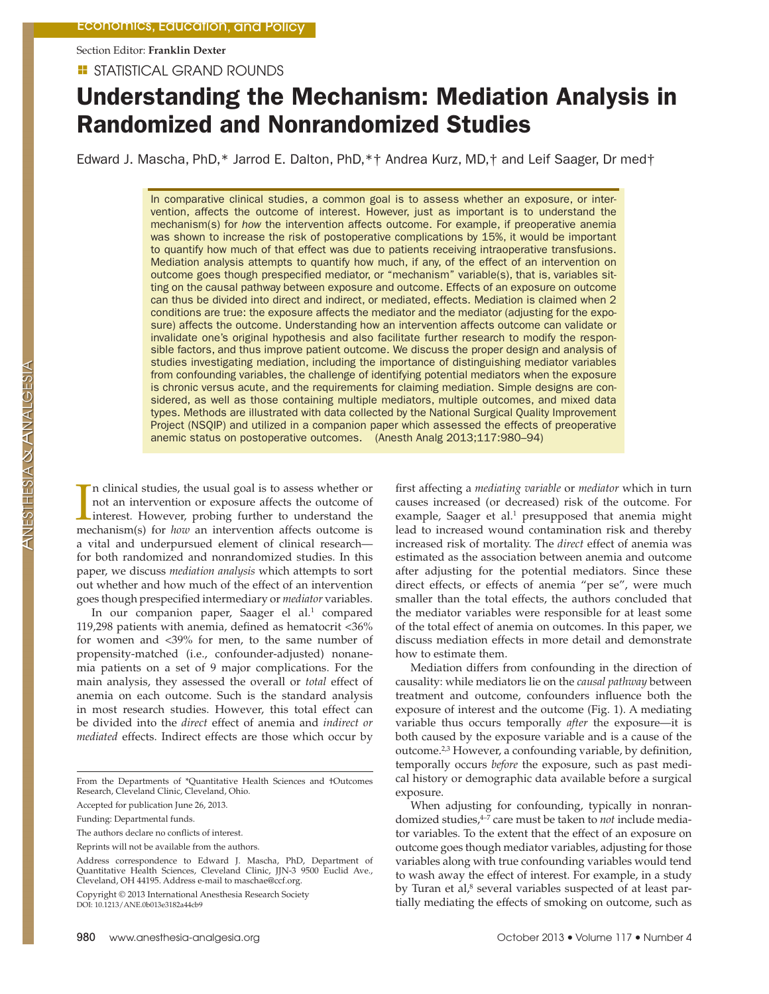Section Editor: **Franklin Dexter**

**E** STATISTICAL GRAND ROUNDS

# Understanding the Mechanism: Mediation Analysis in Randomized and Nonrandomized Studies

Edward J. Mascha, PhD,\* Jarrod E. Dalton, PhD,\*† Andrea Kurz, MD,† and Leif Saager, Dr med†

In comparative clinical studies, a common goal is to assess whether an exposure, or intervention, affects the outcome of interest. However, just as important is to understand the mechanism(s) for how the intervention affects outcome. For example, if preoperative anemia was shown to increase the risk of postoperative complications by 15%, it would be important to quantify how much of that effect was due to patients receiving intraoperative transfusions. Mediation analysis attempts to quantify how much, if any, of the effect of an intervention on outcome goes though prespecified mediator, or "mechanism" variable(s), that is, variables sitting on the causal pathway between exposure and outcome. Effects of an exposure on outcome can thus be divided into direct and indirect, or mediated, effects. Mediation is claimed when 2 conditions are true: the exposure affects the mediator and the mediator (adjusting for the exposure) affects the outcome. Understanding how an intervention affects outcome can validate or invalidate one's original hypothesis and also facilitate further research to modify the responsible factors, and thus improve patient outcome. We discuss the proper design and analysis of studies investigating mediation, including the importance of distinguishing mediator variables from confounding variables, the challenge of identifying potential mediators when the exposure is chronic versus acute, and the requirements for claiming mediation. Simple designs are considered, as well as those containing multiple mediators, multiple outcomes, and mixed data types. Methods are illustrated with data collected by the National Surgical Quality Improvement Project (NSQIP) and utilized in a companion paper which assessed the effects of preoperative anemic status on postoperative outcomes. (Anesth Analg 2013;117:980–94)

In clinical studies, the usual goal is to assess whether or not an intervention or exposure affects the outcome of interest. However, probing further to understand the mechanism(s) for *how* an intervention affects outcome n clinical studies, the usual goal is to assess whether or not an intervention or exposure affects the outcome of interest. However, probing further to understand the a vital and underpursued element of clinical research for both randomized and nonrandomized studies. In this paper, we discuss *mediation analysis* which attempts to sort out whether and how much of the effect of an intervention goes though prespecified intermediary or *mediator* variables.

In our companion paper, Saager el al.<sup>1</sup> compared 119,298 patients with anemia, defined as hematocrit  $<36\%$ for women and <39% for men, to the same number of propensity-matched (i.e., confounder-adjusted) nonanemia patients on a set of 9 major complications. For the main analysis, they assessed the overall or *total* effect of anemia on each outcome. Such is the standard analysis in most research studies. However, this total effect can be divided into the *direct* effect of anemia and *indirect or mediated* effects. Indirect effects are those which occur by

Copyright © 2013 International Anesthesia Research Society DOI: 10.1213/ANE.0b013e3182a44cb9

first affecting a *mediating variable* or *mediator* which in turn causes increased (or decreased) risk of the outcome. For example, Saager et al.<sup>1</sup> presupposed that anemia might lead to increased wound contamination risk and thereby increased risk of mortality. The *direct* effect of anemia was estimated as the association between anemia and outcome after adjusting for the potential mediators. Since these direct effects, or effects of anemia "per se", were much smaller than the total effects, the authors concluded that the mediator variables were responsible for at least some of the total effect of anemia on outcomes. In this paper, we discuss mediation effects in more detail and demonstrate how to estimate them.

Mediation differs from confounding in the direction of causality: while mediators lie on the *causal pathway* between treatment and outcome, confounders influence both the exposure of interest and the outcome (Fig. 1). A mediating variable thus occurs temporally *after* the exposure—it is both caused by the exposure variable and is a cause of the outcome.<sup>2,3</sup> However, a confounding variable, by definition, temporally occurs *before* the exposure, such as past medical history or demographic data available before a surgical exposure.

When adjusting for confounding, typically in nonrandomized studies,4–7 care must be taken to *not* include mediator variables. To the extent that the effect of an exposure on outcome goes though mediator variables, adjusting for those variables along with true confounding variables would tend to wash away the effect of interest. For example, in a study by Turan et al,<sup>8</sup> several variables suspected of at least partially mediating the effects of smoking on outcome, such as

From the Departments of \*Quantitative Health Sciences and †Outcomes Research, Cleveland Clinic, Cleveland, Ohio.

Accepted for publication June 26, 2013.

Funding: Departmental funds.

The authors declare no conflicts of interest.

Reprints will not be available from the authors.

Address correspondence to Edward J. Mascha, PhD, Department of Quantitative Health Sciences, Cleveland Clinic, JJN-3 9500 Euclid Ave., Cleveland, OH 44195. Address e-mail to maschae@ccf.org.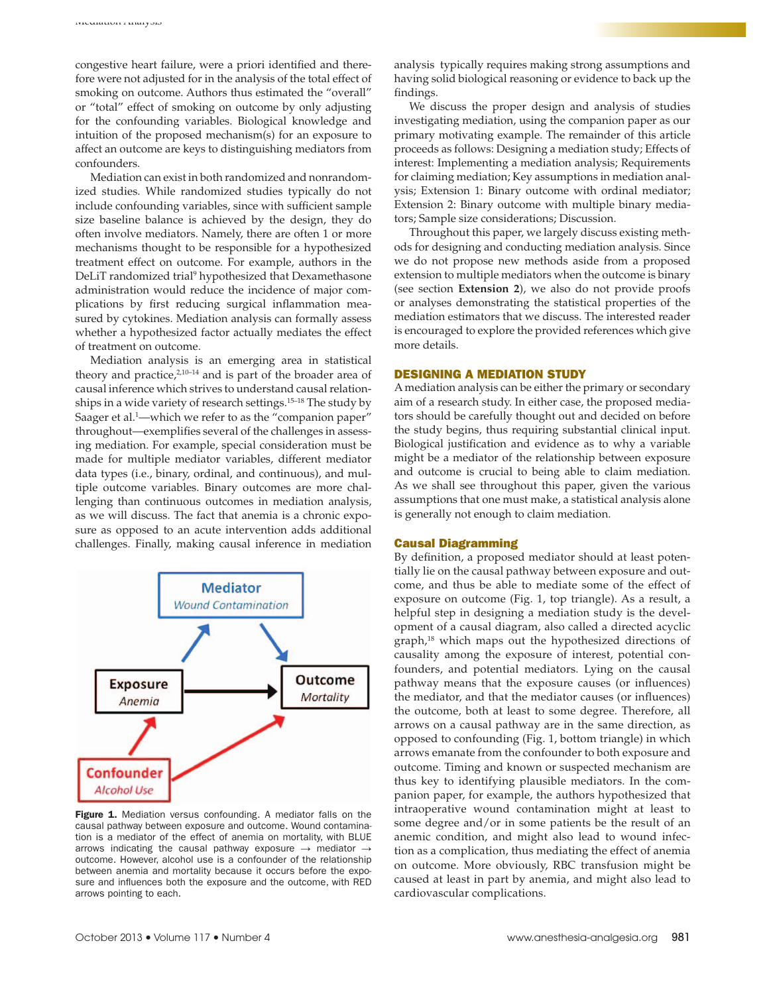congestive heart failure, were a priori identified and therefore were not adjusted for in the analysis of the total effect of smoking on outcome. Authors thus estimated the "overall" or "total" effect of smoking on outcome by only adjusting for the confounding variables. Biological knowledge and intuition of the proposed mechanism(s) for an exposure to affect an outcome are keys to distinguishing mediators from confounders.

Mediation can exist in both randomized and nonrandomized studies. While randomized studies typically do not include confounding variables, since with sufficient sample size baseline balance is achieved by the design, they do often involve mediators. Namely, there are often 1 or more mechanisms thought to be responsible for a hypothesized treatment effect on outcome. For example, authors in the DeLiT randomized trial<sup>9</sup> hypothesized that Dexamethasone administration would reduce the incidence of major complications by first reducing surgical inflammation measured by cytokines. Mediation analysis can formally assess whether a hypothesized factor actually mediates the effect of treatment on outcome.

Mediation analysis is an emerging area in statistical theory and practice, $2,10-14$  and is part of the broader area of causal inference which strives to understand causal relationships in a wide variety of research settings.15–18 The study by Saager et al.<sup>1</sup>—which we refer to as the "companion paper" throughout—exemplifies several of the challenges in assessing mediation. For example, special consideration must be made for multiple mediator variables, different mediator data types (i.e., binary, ordinal, and continuous), and multiple outcome variables. Binary outcomes are more challenging than continuous outcomes in mediation analysis, as we will discuss. The fact that anemia is a chronic exposure as opposed to an acute intervention adds additional challenges. Finally, making causal inference in mediation



Figure 1. Mediation versus confounding. A mediator falls on the causal pathway between exposure and outcome. Wound contamination is a mediator of the effect of anemia on mortality, with BLUE arrows indicating the causal pathway exposure  $\rightarrow$  mediator  $\rightarrow$ outcome. However, alcohol use is a confounder of the relationship between anemia and mortality because it occurs before the exposure and influences both the exposure and the outcome, with RED arrows pointing to each.

analysis typically requires making strong assumptions and having solid biological reasoning or evidence to back up the findings.

We discuss the proper design and analysis of studies investigating mediation, using the companion paper as our primary motivating example. The remainder of this article proceeds as follows: Designing a mediation study; Effects of interest: Implementing a mediation analysis; Requirements for claiming mediation; Key assumptions in mediation analysis; Extension 1: Binary outcome with ordinal mediator; Extension 2: Binary outcome with multiple binary mediators; Sample size considerations; Discussion.

Throughout this paper, we largely discuss existing methods for designing and conducting mediation analysis. Since we do not propose new methods aside from a proposed extension to multiple mediators when the outcome is binary (see section **Extension 2**), we also do not provide proofs or analyses demonstrating the statistical properties of the mediation estimators that we discuss. The interested reader is encouraged to explore the provided references which give more details.

# DESIGNING A MEDIATION STUDY

A mediation analysis can be either the primary or secondary aim of a research study. In either case, the proposed mediators should be carefully thought out and decided on before the study begins, thus requiring substantial clinical input. Biological justification and evidence as to why a variable might be a mediator of the relationship between exposure and outcome is crucial to being able to claim mediation. As we shall see throughout this paper, given the various assumptions that one must make, a statistical analysis alone is generally not enough to claim mediation.

## Causal Diagramming

By definition, a proposed mediator should at least potentially lie on the causal pathway between exposure and outcome, and thus be able to mediate some of the effect of exposure on outcome (Fig. 1, top triangle). As a result, a helpful step in designing a mediation study is the development of a causal diagram, also called a directed acyclic graph,<sup>18</sup> which maps out the hypothesized directions of causality among the exposure of interest, potential confounders, and potential mediators. Lying on the causal pathway means that the exposure causes (or influences) the mediator, and that the mediator causes (or influences) the outcome, both at least to some degree. Therefore, all arrows on a causal pathway are in the same direction, as opposed to confounding (Fig. 1, bottom triangle) in which arrows emanate from the confounder to both exposure and outcome. Timing and known or suspected mechanism are thus key to identifying plausible mediators. In the companion paper, for example, the authors hypothesized that intraoperative wound contamination might at least to some degree and/or in some patients be the result of an anemic condition, and might also lead to wound infection as a complication, thus mediating the effect of anemia on outcome. More obviously, RBC transfusion might be caused at least in part by anemia, and might also lead to cardiovascular complications.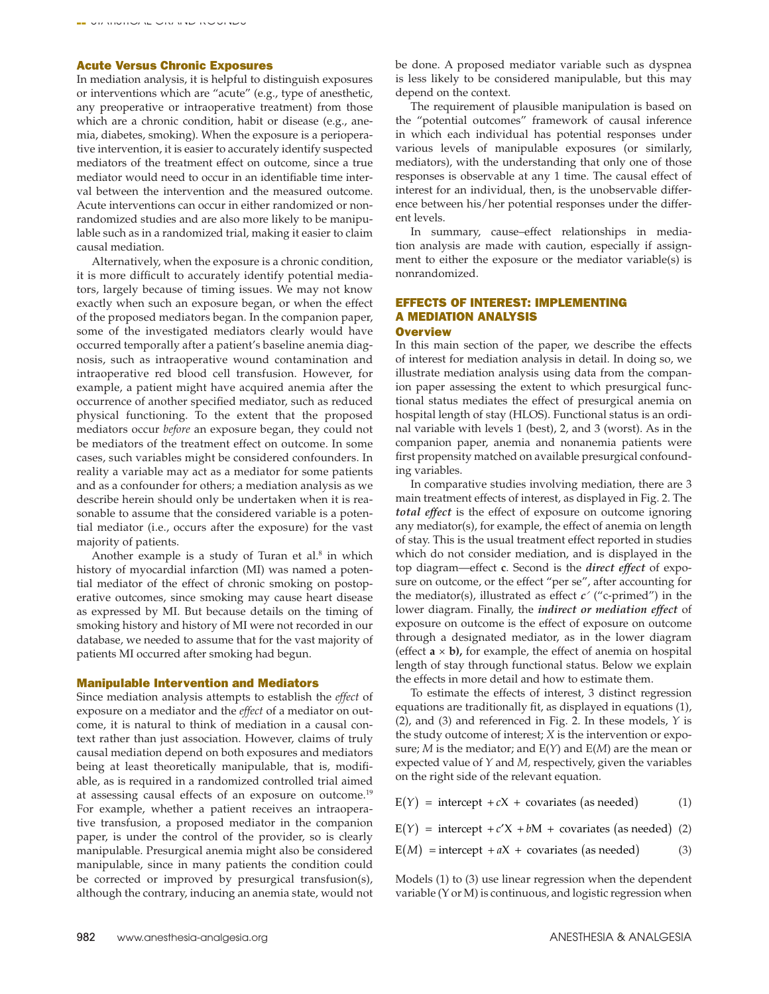#### Acute Versus Chronic Exposures

In mediation analysis, it is helpful to distinguish exposures or interventions which are "acute" (e.g., type of anesthetic, any preoperative or intraoperative treatment) from those which are a chronic condition, habit or disease (e.g., anemia, diabetes, smoking). When the exposure is a perioperative intervention, it is easier to accurately identify suspected mediators of the treatment effect on outcome, since a true mediator would need to occur in an identifiable time interval between the intervention and the measured outcome. Acute interventions can occur in either randomized or nonrandomized studies and are also more likely to be manipulable such as in a randomized trial, making it easier to claim causal mediation.

Alternatively, when the exposure is a chronic condition, it is more difficult to accurately identify potential mediators, largely because of timing issues. We may not know exactly when such an exposure began, or when the effect of the proposed mediators began. In the companion paper, some of the investigated mediators clearly would have occurred temporally after a patient's baseline anemia diagnosis, such as intraoperative wound contamination and intraoperative red blood cell transfusion. However, for example, a patient might have acquired anemia after the occurrence of another specified mediator, such as reduced physical functioning. To the extent that the proposed mediators occur *before* an exposure began, they could not be mediators of the treatment effect on outcome. In some cases, such variables might be considered confounders. In reality a variable may act as a mediator for some patients and as a confounder for others; a mediation analysis as we describe herein should only be undertaken when it is reasonable to assume that the considered variable is a potential mediator (i.e., occurs after the exposure) for the vast majority of patients.

Another example is a study of Turan et al. $8$  in which history of myocardial infarction (MI) was named a potential mediator of the effect of chronic smoking on postoperative outcomes, since smoking may cause heart disease as expressed by MI. But because details on the timing of smoking history and history of MI were not recorded in our database, we needed to assume that for the vast majority of patients MI occurred after smoking had begun.

## Manipulable Intervention and Mediators

Since mediation analysis attempts to establish the *effect* of exposure on a mediator and the *effect* of a mediator on outcome, it is natural to think of mediation in a causal context rather than just association. However, claims of truly causal mediation depend on both exposures and mediators being at least theoretically manipulable, that is, modifiable, as is required in a randomized controlled trial aimed at assessing causal effects of an exposure on outcome.<sup>19</sup> For example, whether a patient receives an intraoperative transfusion, a proposed mediator in the companion paper, is under the control of the provider, so is clearly manipulable. Presurgical anemia might also be considered manipulable, since in many patients the condition could be corrected or improved by presurgical transfusion(s), although the contrary, inducing an anemia state, would not

be done. A proposed mediator variable such as dyspnea is less likely to be considered manipulable, but this may depend on the context.

The requirement of plausible manipulation is based on the "potential outcomes" framework of causal inference in which each individual has potential responses under various levels of manipulable exposures (or similarly, mediators), with the understanding that only one of those responses is observable at any 1 time. The causal effect of interest for an individual, then, is the unobservable difference between his/her potential responses under the different levels.

In summary, cause–effect relationships in mediation analysis are made with caution, especially if assignment to either the exposure or the mediator variable(s) is nonrandomized.

## EFFECTS OF INTEREST: IMPLEMENTING A MEDIATION ANALYSIS **Overview**

In this main section of the paper, we describe the effects of interest for mediation analysis in detail. In doing so, we illustrate mediation analysis using data from the companion paper assessing the extent to which presurgical functional status mediates the effect of presurgical anemia on hospital length of stay (HLOS). Functional status is an ordinal variable with levels 1 (best), 2, and 3 (worst). As in the companion paper, anemia and nonanemia patients were first propensity matched on available presurgical confounding variables.

In comparative studies involving mediation, there are 3 main treatment effects of interest, as displayed in Fig. 2. The *total effect* is the effect of exposure on outcome ignoring any mediator(s), for example, the effect of anemia on length of stay. This is the usual treatment effect reported in studies which do not consider mediation, and is displayed in the top diagram—effect **c**. Second is the *direct effect* of exposure on outcome, or the effect "per se", after accounting for the mediator(s), illustrated as effect *c′* ("c-primed") in the lower diagram. Finally, the *indirect or mediation effect* of exposure on outcome is the effect of exposure on outcome through a designated mediator, as in the lower diagram (effect  $\mathbf{a} \times \mathbf{b}$ ), for example, the effect of anemia on hospital length of stay through functional status. Below we explain the effects in more detail and how to estimate them.

To estimate the effects of interest, 3 distinct regression equations are traditionally fit, as displayed in equations (1), (2), and (3) and referenced in Fig. 2. In these models, *Y* is the study outcome of interest; *X* is the intervention or exposure; *M* is the mediator; and E(*Y*) and E(*M*) are the mean or expected value of *Y* and *M,* respectively, given the variables on the right side of the relevant equation.

 $E(Y)$  = intercept +  $cX$  + covariates (as needed) (1)

 $E(Y)$  = intercept +  $c'X$  +  $bM$  + covariates (as needed) (2)

 $E(M)$  = intercept +  $aX$  + covariates (as needed) (3)

Models (1) to (3) use linear regression when the dependent variable (Y or M) is continuous, and logistic regression when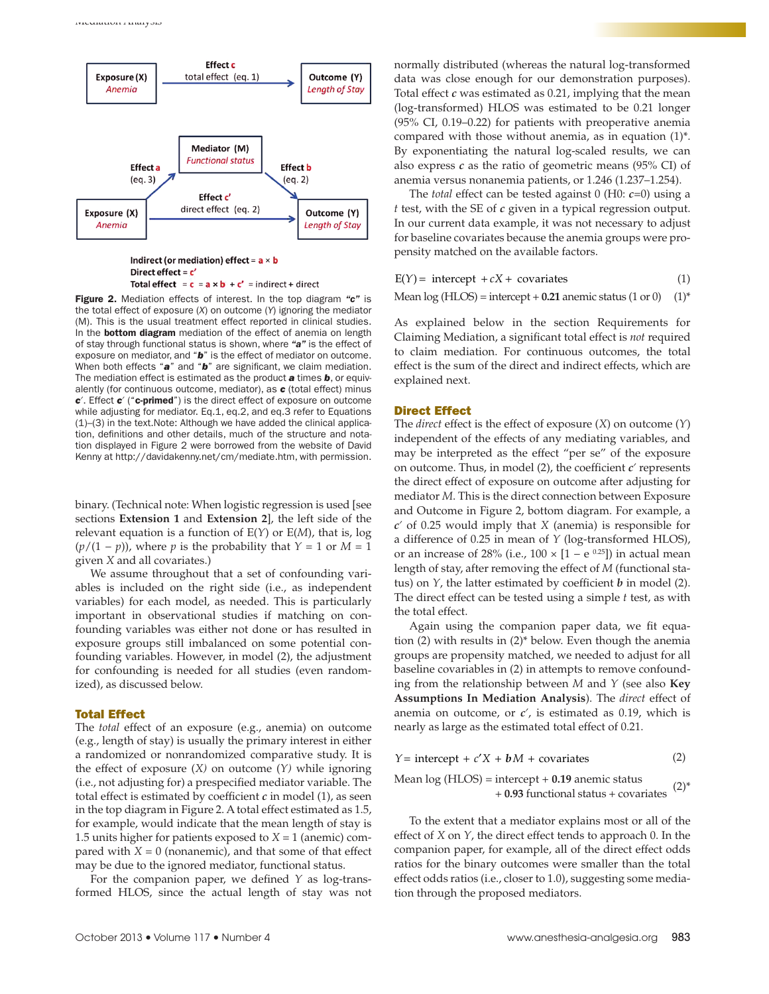

#### Indirect (or mediation) effect =  $a \times b$ Direct effect =  $c'$ **Total effect** =  $\mathbf{c}$  =  $\mathbf{a} \times \mathbf{b}$  +  $\mathbf{c}'$  = indirect + direct

Figure 2. Mediation effects of interest. In the top diagram "c" is the total effect of exposure  $(X)$  on outcome  $(Y)$  ignoring the mediator (M). This is the usual treatment effect reported in clinical studies. In the **bottom diagram** mediation of the effect of anemia on length of stay through functional status is shown, where "a" is the effect of exposure on mediator, and "**b**" is the effect of mediator on outcome. When both effects " $a$ " and " $b$ " are significant, we claim mediation. The mediation effect is estimated as the product  $\boldsymbol{a}$  times  $\boldsymbol{b}$ , or equivalently (for continuous outcome, mediator), as  $c$  (total effect) minus c'. Effect c' ("c-primed") is the direct effect of exposure on outcome while adjusting for mediator. Eq.1, eq.2, and eq.3 refer to Equations (1)–(3) in the text.Note: Although we have added the clinical application, definitions and other details, much of the structure and notation displayed in Figure 2 were borrowed from the website of David Kenny at [http://davidakenny.net/cm/mediate.htm,](http://davidakenny.net/cm/mediate.htm) with permission.

binary. (Technical note: When logistic regression is used [see sections **Extension 1** and **Extension 2**], the left side of the relevant equation is a function of E(*Y*) or E(*M*), that is, log  $(p/(1 - p))$ , where *p* is the probability that  $Y = 1$  or  $M = 1$ given *X* and all covariates.)

We assume throughout that a set of confounding variables is included on the right side (i.e., as independent variables) for each model, as needed. This is particularly important in observational studies if matching on confounding variables was either not done or has resulted in exposure groups still imbalanced on some potential confounding variables. However, in model (2), the adjustment for confounding is needed for all studies (even randomized), as discussed below.

#### Total Effect

The *total* effect of an exposure (e.g., anemia) on outcome (e.g., length of stay) is usually the primary interest in either a randomized or nonrandomized comparative study. It is the effect of exposure (*X)* on outcome (*Y)* while ignoring (i.e., not adjusting for) a prespecified mediator variable. The total effect is estimated by coefficient  $c$  in model  $(1)$ , as seen in the top diagram in Figure 2. A total effect estimated as 1.5, for example, would indicate that the mean length of stay is 1.5 units higher for patients exposed to *X* = 1 (anemic) compared with  $X = 0$  (nonanemic), and that some of that effect may be due to the ignored mediator, functional status.

For the companion paper, we defined *Y* as log-transformed HLOS, since the actual length of stay was not

normally distributed (whereas the natural log-transformed data was close enough for our demonstration purposes). Total effect *c* was estimated as 0.21, implying that the mean (log-transformed) HLOS was estimated to be 0.21 longer (95% CI, 0.19–0.22) for patients with preoperative anemia compared with those without anemia, as in equation (1)\*. By exponentiating the natural log-scaled results, we can also express *c* as the ratio of geometric means (95% CI) of anemia versus nonanemia patients, or 1.246 (1.237–1.254).

The *total* effect can be tested against 0 (H0: *c*=0) using a *t* test, with the SE of *c* given in a typical regression output. In our current data example, it was not necessary to adjust for baseline covariates because the anemia groups were propensity matched on the available factors.

$$
E(Y) = intercept + cX + covariates
$$
 (1)

Mean  $log(HLOS) = intercept + 0.21$  anemic status  $(1 or 0)$   $(1)^*$ 

As explained below in the section Requirements for Claiming Mediation, a significant total effect is *not* required to claim mediation. For continuous outcomes, the total effect is the sum of the direct and indirect effects, which are explained next.

## Direct Effect

The *direct* effect is the effect of exposure (*X*) on outcome (*Y*) independent of the effects of any mediating variables, and may be interpreted as the effect "per se" of the exposure on outcome. Thus, in model  $(2)$ , the coefficient  $c'$  represents the direct effect of exposure on outcome after adjusting for mediator *M*. This is the direct connection between Exposure and Outcome in Figure 2, bottom diagram. For example, a *c*′ of 0.25 would imply that *X* (anemia) is responsible for a difference of 0.25 in mean of *Y* (log-transformed HLOS), or an increase of 28% (i.e.,  $100 \times [1 - e^{0.25}]$ ) in actual mean length of stay, after removing the effect of *M* (functional status) on  $Y$ , the latter estimated by coefficient  $b$  in model (2). The direct effect can be tested using a simple *t* test, as with the total effect.

Again using the companion paper data, we fit equation (2) with results in (2)\* below. Even though the anemia groups are propensity matched, we needed to adjust for all baseline covariables in (2) in attempts to remove confounding from the relationship between *M* and *Y* (see also **Key Assumptions In Mediation Analysis**). The *direct* effect of anemia on outcome, or *c*′, is estimated as 0.19, which is nearly as large as the estimated total effect of 0.21.

$$
Y = intercept + c'X + bM + covariates
$$
 (2)

Mean log (HLOS) = intercept + 
$$
0.19
$$
 a  
nemic status  
+  $0.93$  functional status + covariates  $(2)^*$ 

To the extent that a mediator explains most or all of the effect of *X* on *Y*, the direct effect tends to approach 0. In the companion paper, for example, all of the direct effect odds ratios for the binary outcomes were smaller than the total effect odds ratios (i.e., closer to 1.0), suggesting some mediation through the proposed mediators.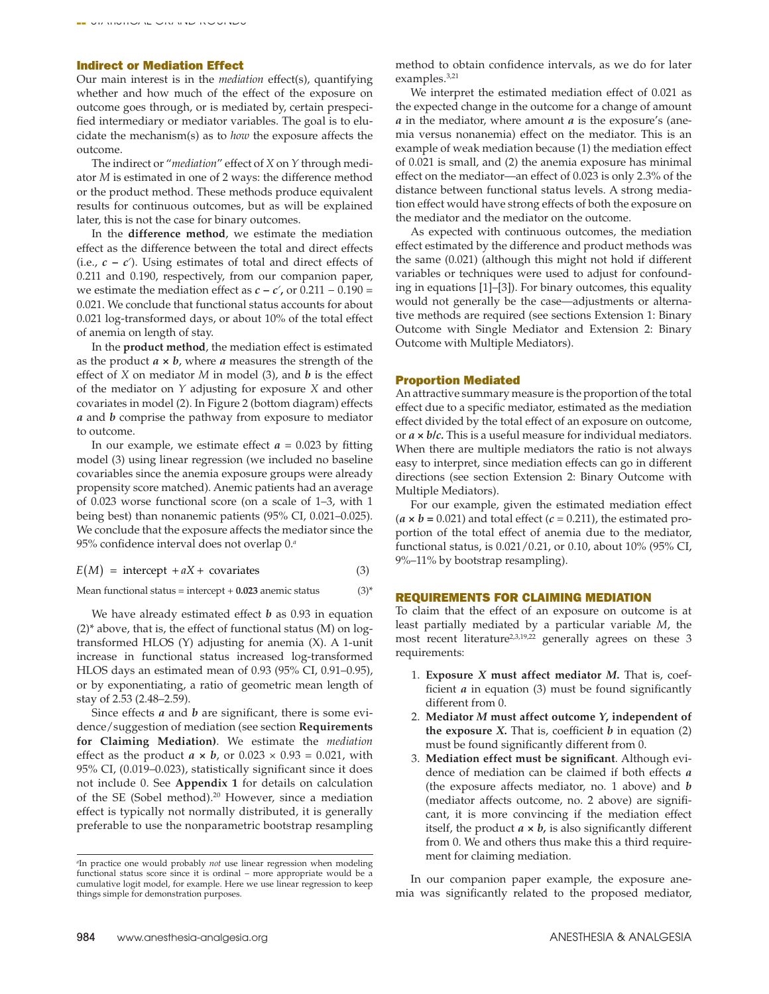#### Indirect or Mediation Effect

Our main interest is in the *mediation* effect(s), quantifying whether and how much of the effect of the exposure on outcome goes through, or is mediated by, certain prespeci fied intermediary or mediator variables. The goal is to elucidate the mechanism(s) as to *how* the exposure affects the outcome.

The indirect or "*mediation*" effect of *X* on *Y* through mediator *M* is estimated in one of 2 ways: the difference method or the product method. These methods produce equivalent results for continuous outcomes, but as will be explained later, this is not the case for binary outcomes.

In the **difference method**, we estimate the mediation effect as the difference between the total and direct effects (i.e., *c − c*′). Using estimates of total and direct effects of 0.211 and 0.190, respectively, from our companion paper, we estimate the mediation effect as *c − c*′**,** or 0.211 − 0.190 = 0.021. We conclude that functional status accounts for about 0.021 log-transformed days, or about 10% of the total effect of anemia on length of stay.

In the **product method**, the mediation effect is estimated as the product *a × b*, where *a* measures the strength of the effect of *X* on mediator *M* in model (3), and *b* is the effect of the mediator on *Y* adjusting for exposure *X* and other covariates in model (2). In Figure 2 (bottom diagram) effects *a* and *b* comprise the pathway from exposure to mediator to outcome.

In our example, we estimate effect  $a = 0.023$  by fitting model (3) using linear regression (we included no baseline covariables since the anemia exposure groups were already propensity score matched). Anemic patients had an average of 0.023 worse functional score (on a scale of 1–3, with 1 being best) than nonanemic patients (95% CI, 0.021–0.025). We conclude that the exposure affects the mediator since the 95% confidence interval does not overlap 0.<sup>*a*</sup>

 $E(M) =$  intercept  $+aX +$  covariates (3)

Mean functional status = intercept  $+$  0.023 anemic status  $(3)^*$ 

We have already estimated effect *b* as 0.93 in equation  $(2)$ <sup>\*</sup> above, that is, the effect of functional status  $(M)$  on logtransformed HLOS (Y) adjusting for anemia (X). A 1-unit increase in functional status increased log-transformed HLOS days an estimated mean of 0.93 (95% CI, 0.91–0.95), or by exponentiating, a ratio of geometric mean length of stay of 2.53 (2.48–2.59).

Since effects  $a$  and  $b$  are significant, there is some evidence/suggestion of mediation (see section **Requirements for Claiming Mediation)**. We estimate the *mediation* effect as the product  $a \times b$ , or  $0.023 \times 0.93 = 0.021$ , with  $95\%$  CI, (0.019–0.023), statistically significant since it does not include 0. See **Appendix 1** for details on calculation of the SE (Sobel method).20 However, since a mediation effect is typically not normally distributed, it is generally preferable to use the nonparametric bootstrap resampling

method to obtain confidence intervals, as we do for later examples.<sup>3,21</sup>

We interpret the estimated mediation effect of 0.021 as the expected change in the outcome for a change of amount *a* in the mediator, where amount *a* is the exposure's (anemia versus nonanemia) effect on the mediator. This is an example of weak mediation because (1) the mediation effect of 0.021 is small, and (2) the anemia exposure has minimal effect on the mediator—an effect of 0.023 is only 2.3% of the distance between functional status levels. A strong mediation effect would have strong effects of both the exposure on the mediator and the mediator on the outcome.

As expected with continuous outcomes, the mediation effect estimated by the difference and product methods was the same (0.021) (although this might not hold if different variables or techniques were used to adjust for confounding in equations [1]–[3]). For binary outcomes, this equality would not generally be the case—adjustments or alternative methods are required (see sections Extension 1: Binary Outcome with Single Mediator and Extension 2: Binary Outcome with Multiple Mediators).

#### Proportion Mediated

An attractive summary measure is the proportion of the total effect due to a specific mediator, estimated as the mediation effect divided by the total effect of an exposure on outcome, or *a × b/c.* This is a useful measure for individual mediators. When there are multiple mediators the ratio is not always easy to interpret, since mediation effects can go in different directions (see section Extension 2: Binary Outcome with Multiple Mediators).

For our example, given the estimated mediation effect  $(a \times b = 0.021)$  and total effect  $(c = 0.211)$ , the estimated proportion of the total effect of anemia due to the mediator, functional status, is 0.021/0.21, or 0.10, about 10% (95% CI, 9%–11% by bootstrap resampling).

## REQUIREMENTS FOR CLAIMING MEDIATION

To claim that the effect of an exposure on outcome is at least partially mediated by a particular variable *M*, the most recent literature2,3,19,22 generally agrees on these 3 requirements:

- 1. **Exposure** *X* **must affect mediator** *M***.** That is, coef ficient  $a$  in equation (3) must be found significantly different from 0.
- 2. **Mediator** *M* **must affect outcome** *Y***, independent of the exposure** *X***.** That is, coefficient  $b$  in equation (2) must be found significantly different from 0.
- 3. Mediation effect must be significant. Although evidence of mediation can be claimed if both effects *a* (the exposure affects mediator, no. 1 above) and *b* (mediator affects outcome, no. 2 above) are significant, it is more convincing if the mediation effect itself, the product  $a \times b$ , is also significantly different from 0. We and others thus make this a third requirement for claiming mediation.

In our companion paper example, the exposure anemia was significantly related to the proposed mediator,

*a* In practice one would probably *not* use linear regression when modeling functional status score since it is ordinal – more appropriate would be a cumulative logit model, for example. Here we use linear regression to keep things simple for demonstration purposes.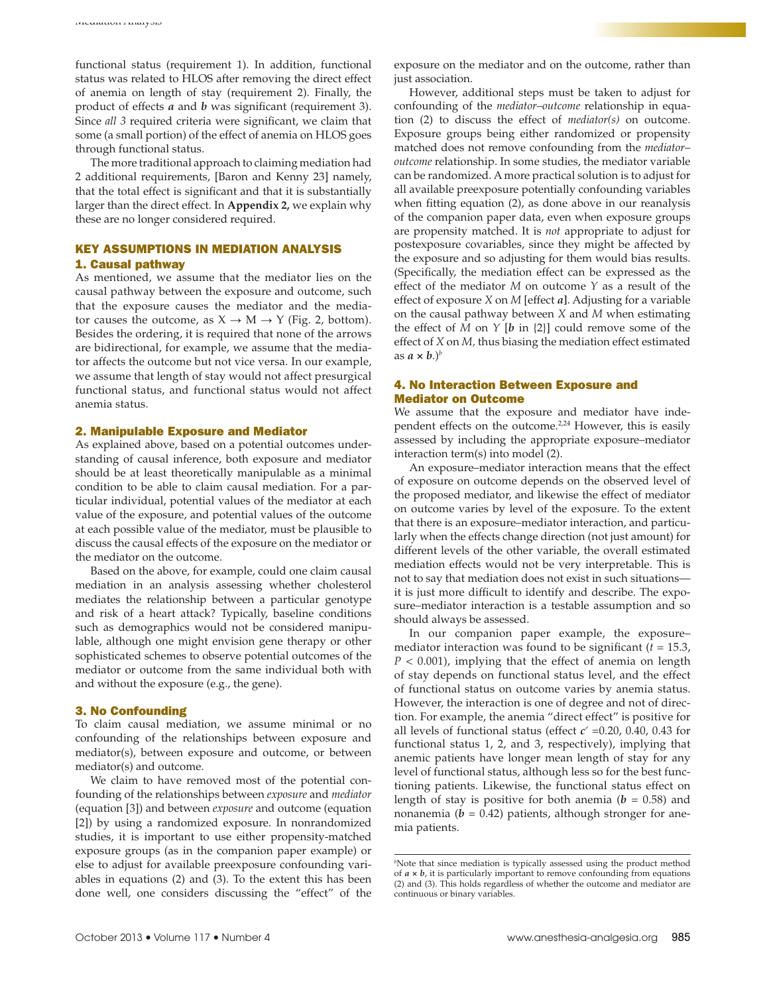functional status (requirement 1). In addition, functional status was related to HLOS after removing the direct effect of anemia on length of stay (requirement 2). Finally, the product of effects *a* and *b* was significant (requirement 3). Since *all* 3 required criteria were significant, we claim that some (a small portion) of the effect of anemia on HLOS goes through functional status.

The more traditional approach to claiming mediation had 2 additional requirements, [Baron and Kenny 23] namely, that the total effect is significant and that it is substantially larger than the direct effect. In **Appendix 2,** we explain why these are no longer considered required.

# KEY ASSUMPTIONS IN MEDIATION ANALYSIS 1. Causal pathway

As mentioned, we assume that the mediator lies on the causal pathway between the exposure and outcome, such that the exposure causes the mediator and the mediator causes the outcome, as  $X \to M \to Y$  (Fig. 2, bottom). Besides the ordering, it is required that none of the arrows are bidirectional, for example, we assume that the mediator affects the outcome but not vice versa. In our example, we assume that length of stay would not affect presurgical functional status, and functional status would not affect anemia status.

## 2. Manipulable Exposure and Mediator

As explained above, based on a potential outcomes understanding of causal inference, both exposure and mediator should be at least theoretically manipulable as a minimal condition to be able to claim causal mediation. For a particular individual, potential values of the mediator at each value of the exposure, and potential values of the outcome at each possible value of the mediator, must be plausible to discuss the causal effects of the exposure on the mediator or the mediator on the outcome.

Based on the above, for example, could one claim causal mediation in an analysis assessing whether cholesterol mediates the relationship between a particular genotype and risk of a heart attack? Typically, baseline conditions such as demographics would not be considered manipulable, although one might envision gene therapy or other sophisticated schemes to observe potential outcomes of the mediator or outcome from the same individual both with and without the exposure (e.g., the gene).

#### 3. No Confounding

To claim causal mediation, we assume minimal or no confounding of the relationships between exposure and mediator(s), between exposure and outcome, or between mediator(s) and outcome.

We claim to have removed most of the potential confounding of the relationships between *exposure* and *mediator* (equation [3]) and between *exposure* and outcome (equation [2]) by using a randomized exposure. In nonrandomized studies, it is important to use either propensity-matched exposure groups (as in the companion paper example) or else to adjust for available preexposure confounding variables in equations (2) and (3). To the extent this has been done well, one considers discussing the "effect" of the

exposure on the mediator and on the outcome, rather than just association.

However, additional steps must be taken to adjust for confounding of the *mediator*–*outcome* relationship in equation (2) to discuss the effect of *mediator(s)* on outcome. Exposure groups being either randomized or propensity matched does not remove confounding from the *mediator*– *outcome* relationship. In some studies, the mediator variable can be randomized. A more practical solution is to adjust for all available preexposure potentially confounding variables when fitting equation (2), as done above in our reanalysis of the companion paper data, even when exposure groups are propensity matched. It is *not* appropriate to adjust for postexposure covariables, since they might be affected by the exposure and so adjusting for them would bias results. (Specifically, the mediation effect can be expressed as the effect of the mediator *M* on outcome *Y* as a result of the effect of exposure *X* on *M* [effect *a***]**. Adjusting for a variable on the causal pathway between *X* and *M* when estimating the effect of *M* on *Y* [*b* in {2}] could remove some of the effect of *X* on *M,* thus biasing the mediation effect estimated as  $a \times b$ .)<sup>b</sup>

## 4. No Interaction Between Exposure and Mediator on Outcome

We assume that the exposure and mediator have independent effects on the outcome.<sup>2,24</sup> However, this is easily assessed by including the appropriate exposure–mediator interaction term(s) into model (2).

An exposure–mediator interaction means that the effect of exposure on outcome depends on the observed level of the proposed mediator, and likewise the effect of mediator on outcome varies by level of the exposure. To the extent that there is an exposure–mediator interaction, and particularly when the effects change direction (not just amount) for different levels of the other variable, the overall estimated mediation effects would not be very interpretable. This is not to say that mediation does not exist in such situations it is just more difficult to identify and describe. The exposure–mediator interaction is a testable assumption and so should always be assessed.

In our companion paper example, the exposure– mediator interaction was found to be significant  $(t = 15.3)$ , *P* < 0.001), implying that the effect of anemia on length of stay depends on functional status level, and the effect of functional status on outcome varies by anemia status. However, the interaction is one of degree and not of direction. For example, the anemia "direct effect" is positive for all levels of functional status (effect *c*′ =0.20, 0.40, 0.43 for functional status 1, 2, and 3, respectively), implying that anemic patients have longer mean length of stay for any level of functional status, although less so for the best functioning patients. Likewise, the functional status effect on length of stay is positive for both anemia ( $b = 0.58$ ) and nonanemia ( $b = 0.42$ ) patients, although stronger for anemia patients.

<sup>&</sup>lt;sup>b</sup>Note that since mediation is typically assessed using the product method of *a* **×** *b*, it is particularly important to remove confounding from equations (2) and (3). This holds regardless of whether the outcome and mediator are continuous or binary variables.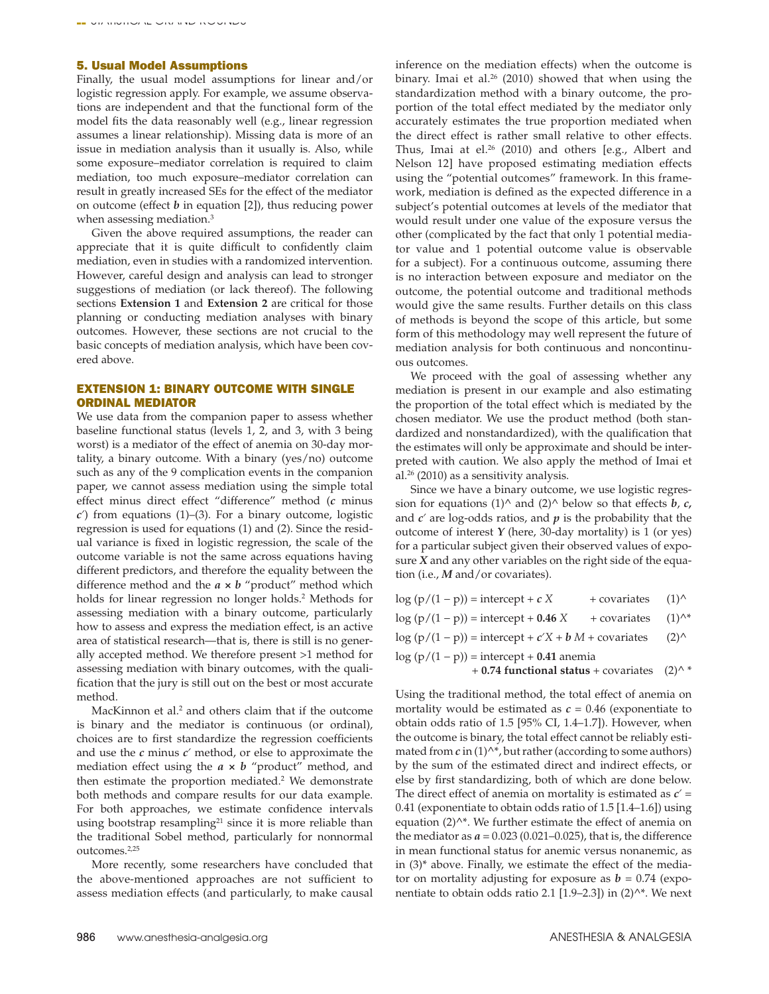#### 5. Usual Model Assumptions

Finally, the usual model assumptions for linear and/or logistic regression apply. For example, we assume observations are independent and that the functional form of the model fits the data reasonably well (e.g., linear regression assumes a linear relationship). Missing data is more of an issue in mediation analysis than it usually is. Also, while some exposure–mediator correlation is required to claim mediation, too much exposure–mediator correlation can result in greatly increased SEs for the effect of the mediator on outcome (effect *b* in equation [2]), thus reducing power when assessing mediation.<sup>3</sup>

Given the above required assumptions, the reader can appreciate that it is quite difficult to confidently claim mediation, even in studies with a randomized intervention. However, careful design and analysis can lead to stronger suggestions of mediation (or lack thereof). The following sections **Extension 1** and **Extension 2** are critical for those planning or conducting mediation analyses with binary outcomes. However, these sections are not crucial to the basic concepts of mediation analysis, which have been covered above.

# EXTENSION 1: BINARY OUTCOME WITH SINGLE ORDINAL MEDIATOR

We use data from the companion paper to assess whether baseline functional status (levels 1, 2, and 3, with 3 being worst) is a mediator of the effect of anemia on 30-day mortality, a binary outcome. With a binary (yes/no) outcome such as any of the 9 complication events in the companion paper, we cannot assess mediation using the simple total effect minus direct effect "difference" method (*c* minus *c*′) from equations (1)–(3). For a binary outcome, logistic regression is used for equations (1) and (2). Since the residual variance is fixed in logistic regression, the scale of the outcome variable is not the same across equations having different predictors, and therefore the equality between the difference method and the *a × b* "product" method which holds for linear regression no longer holds.<sup>2</sup> Methods for assessing mediation with a binary outcome, particularly how to assess and express the mediation effect, is an active area of statistical research—that is, there is still is no generally accepted method. We therefore present >1 method for assessing mediation with binary outcomes, with the quali fication that the jury is still out on the best or most accurate method.

MacKinnon et al.<sup>2</sup> and others claim that if the outcome is binary and the mediator is continuous (or ordinal), choices are to first standardize the regression coefficients and use the *c* minus *c*′ method, or else to approximate the mediation effect using the *a × b* "product" method, and then estimate the proportion mediated.<sup>2</sup> We demonstrate both methods and compare results for our data example. For both approaches, we estimate confidence intervals using bootstrap resampling<sup>21</sup> since it is more reliable than the traditional Sobel method, particularly for nonnormal outcomes.2,25

More recently, some researchers have concluded that the above-mentioned approaches are not sufficient to assess mediation effects (and particularly, to make causal

inference on the mediation effects) when the outcome is binary. Imai et al. $26$  (2010) showed that when using the standardization method with a binary outcome, the proportion of the total effect mediated by the mediator only accurately estimates the true proportion mediated when the direct effect is rather small relative to other effects. Thus, Imai at el.<sup>26</sup> (2010) and others [e.g., Albert and Nelson 12] have proposed estimating mediation effects using the "potential outcomes" framework. In this framework, mediation is defined as the expected difference in a subject's potential outcomes at levels of the mediator that would result under one value of the exposure versus the other (complicated by the fact that only 1 potential mediator value and 1 potential outcome value is observable for a subject). For a continuous outcome, assuming there is no interaction between exposure and mediator on the outcome, the potential outcome and traditional methods would give the same results. Further details on this class of methods is beyond the scope of this article, but some form of this methodology may well represent the future of mediation analysis for both continuous and noncontinuous outcomes.

We proceed with the goal of assessing whether any mediation is present in our example and also estimating the proportion of the total effect which is mediated by the chosen mediator. We use the product method (both standardized and nonstandardized), with the qualification that the estimates will only be approximate and should be interpreted with caution. We also apply the method of Imai et al.26 (2010) as a sensitivity analysis.

Since we have a binary outcome, we use logistic regression for equations  $(1)^\wedge$  and  $(2)^\wedge$  below so that effects *b*, *c*, and  $c'$  are log-odds ratios, and  $p$  is the probability that the outcome of interest *Y* (here, 30-day mortality) is 1 (or yes) for a particular subject given their observed values of exposure *X* and any other variables on the right side of the equation (i.e., *M* and/or covariates).

| $log (p/(1-p)) =$ intercept + c X                     | + covariates $(1)^\wedge$     |     |
|-------------------------------------------------------|-------------------------------|-----|
| $log (p/(1-p)) =$ intercept + 0.46 X                  | + covariates $(1)^{\wedge *}$ |     |
| $log (p/(1-p))$ = intercept + $c'X + bM$ + covariates |                               | (2) |
| $log (p/(1-p)) =$ intercept + 0.41 anemia             |                               |     |

+ **0.74 functional status** + covariates (2)^ \*

Using the traditional method, the total effect of anemia on mortality would be estimated as  $c = 0.46$  (exponentiate to obtain odds ratio of 1.5 [95% CI, 1.4–1.7]). However, when the outcome is binary, the total effect cannot be reliably estimated from  $c$  in  $(1)^{x}$ , but rather (according to some authors) by the sum of the estimated direct and indirect effects, or else by first standardizing, both of which are done below. The direct effect of anemia on mortality is estimated as *c*′ = 0.41 (exponentiate to obtain odds ratio of 1.5 [1.4–1.6]) using equation  $(2)^{^*}$ . We further estimate the effect of anemia on the mediator as  $a = 0.023$  (0.021–0.025), that is, the difference in mean functional status for anemic versus nonanemic, as in  $(3)^*$  above. Finally, we estimate the effect of the mediator on mortality adjusting for exposure as  $b = 0.74$  (exponentiate to obtain odds ratio 2.1 [1.9–2.3]) in  $(2)^{**}$ . We next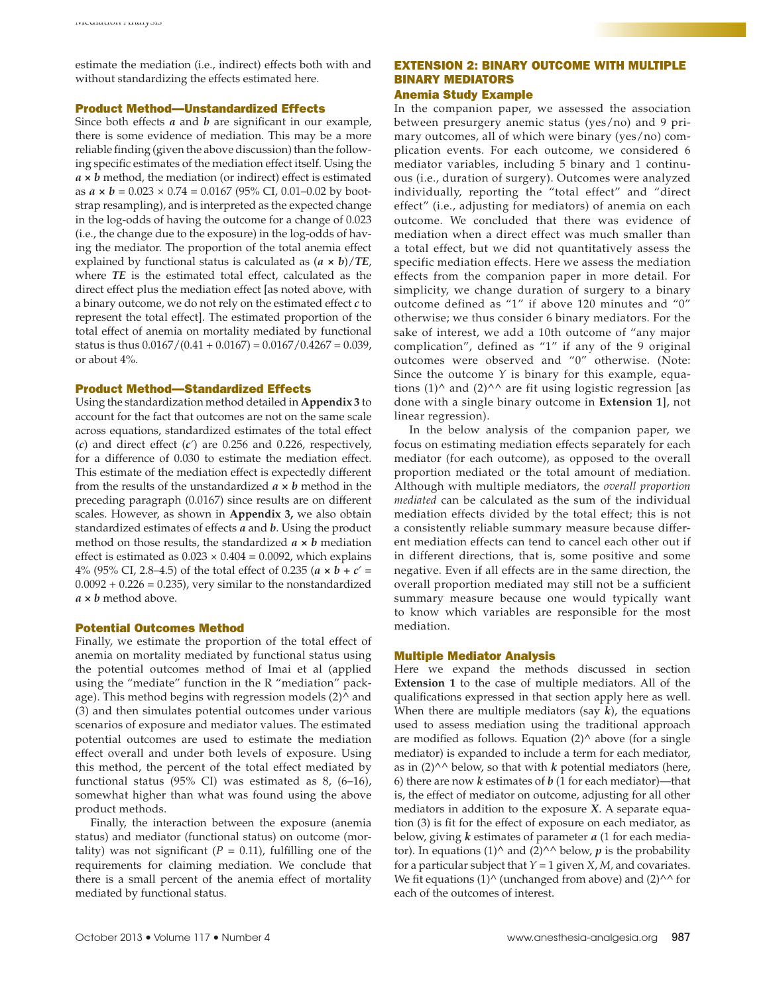estimate the mediation (i.e., indirect) effects both with and without standardizing the effects estimated here.

## Product Method—Unstandardized Effects

Since both effects  $a$  and  $b$  are significant in our example, there is some evidence of mediation. This may be a more reliable finding (given the above discussion) than the following specific estimates of the mediation effect itself. Using the *a × b* method, the mediation (or indirect) effect is estimated as *a × b* = 0.023 × 0.74 = 0.0167 (95% CI, 0.01–0.02 by bootstrap resampling), and is interpreted as the expected change in the log-odds of having the outcome for a change of 0.023 (i.e., the change due to the exposure) in the log-odds of having the mediator. The proportion of the total anemia effect explained by functional status is calculated as (*a × b*)/*TE*, where *TE* is the estimated total effect, calculated as the direct effect plus the mediation effect [as noted above, with a binary outcome, we do not rely on the estimated effect *c* to represent the total effect]. The estimated proportion of the total effect of anemia on mortality mediated by functional status is thus  $0.0167/(0.41 + 0.0167) = 0.0167/0.4267 = 0.039$ , or about 4%.

## Product Method—Standardized Effects

Using the standardization method detailed in **Appendix 3** to account for the fact that outcomes are not on the same scale across equations, standardized estimates of the total effect (*c*) and direct effect (*c*′) are 0.256 and 0.226, respectively, for a difference of 0.030 to estimate the mediation effect. This estimate of the mediation effect is expectedly different from the results of the unstandardized *a × b* method in the preceding paragraph (0.0167) since results are on different scales. However, as shown in **Appendix 3,** we also obtain standardized estimates of effects *a* and *b*. Using the product method on those results, the standardized *a × b* mediation effect is estimated as  $0.023 \times 0.404 = 0.0092$ , which explains 4% (95% CI, 2.8–4.5) of the total effect of 0.235 ( $a \times b + c' =$  $0.0092 + 0.226 = 0.235$ , very similar to the nonstandardized *a × b* method above.

## Potential Outcomes Method

Finally, we estimate the proportion of the total effect of anemia on mortality mediated by functional status using the potential outcomes method of Imai et al (applied using the "mediate" function in the R "mediation" package). This method begins with regression models  $(2)^\wedge$  and (3) and then simulates potential outcomes under various scenarios of exposure and mediator values. The estimated potential outcomes are used to estimate the mediation effect overall and under both levels of exposure. Using this method, the percent of the total effect mediated by functional status (95% CI) was estimated as 8, (6–16), somewhat higher than what was found using the above product methods.

Finally, the interaction between the exposure (anemia status) and mediator (functional status) on outcome (mortality) was not significant ( $P = 0.11$ ), fulfilling one of the requirements for claiming mediation. We conclude that there is a small percent of the anemia effect of mortality mediated by functional status.

# EXTENSION 2: BINARY OUTCOME WITH MULTIPLE BINARY MEDIATORS

# Anemia Study Example

In the companion paper, we assessed the association between presurgery anemic status (yes/no) and 9 primary outcomes, all of which were binary (yes/no) complication events. For each outcome, we considered 6 mediator variables, including 5 binary and 1 continuous (i.e., duration of surgery). Outcomes were analyzed individually, reporting the "total effect" and "direct effect" (i.e., adjusting for mediators) of anemia on each outcome. We concluded that there was evidence of mediation when a direct effect was much smaller than a total effect, but we did not quantitatively assess the specific mediation effects. Here we assess the mediation effects from the companion paper in more detail. For simplicity, we change duration of surgery to a binary outcome defined as "1" if above 120 minutes and "0" otherwise; we thus consider 6 binary mediators. For the sake of interest, we add a 10th outcome of "any major complication", defined as "1" if any of the 9 original outcomes were observed and "0" otherwise. (Note: Since the outcome *Y* is binary for this example, equations  $(1)^\wedge$  and  $(2)^\wedge$  are fit using logistic regression [as done with a single binary outcome in **Extension 1**], not linear regression).

In the below analysis of the companion paper, we focus on estimating mediation effects separately for each mediator (for each outcome), as opposed to the overall proportion mediated or the total amount of mediation. Although with multiple mediators, the *overall proportion mediated* can be calculated as the sum of the individual mediation effects divided by the total effect; this is not a consistently reliable summary measure because different mediation effects can tend to cancel each other out if in different directions, that is, some positive and some negative. Even if all effects are in the same direction, the overall proportion mediated may still not be a sufficient summary measure because one would typically want to know which variables are responsible for the most mediation.

## Multiple Mediator Analysis

Here we expand the methods discussed in section **Extension 1** to the case of multiple mediators. All of the qualifications expressed in that section apply here as well. When there are multiple mediators (say *k*), the equations used to assess mediation using the traditional approach are modified as follows. Equation  $(2)^\wedge$  above (for a single mediator) is expanded to include a term for each mediator, as in  $(2)^{\wedge \wedge}$  below, so that with *k* potential mediators (here, 6) there are now *k* estimates of *b* (1 for each mediator)—that is, the effect of mediator on outcome, adjusting for all other mediators in addition to the exposure *X*. A separate equation (3) is fit for the effect of exposure on each mediator, as below, giving *k* estimates of parameter *a* (1 for each mediator). In equations  $(1)^\wedge$  and  $(2)^\wedge$  below, *p* is the probability for a particular subject that  $Y = 1$  given  $X$ ,  $M$ , and covariates. We fit equations  $(1)^\wedge$  (unchanged from above) and  $(2)^\wedge$  for each of the outcomes of interest.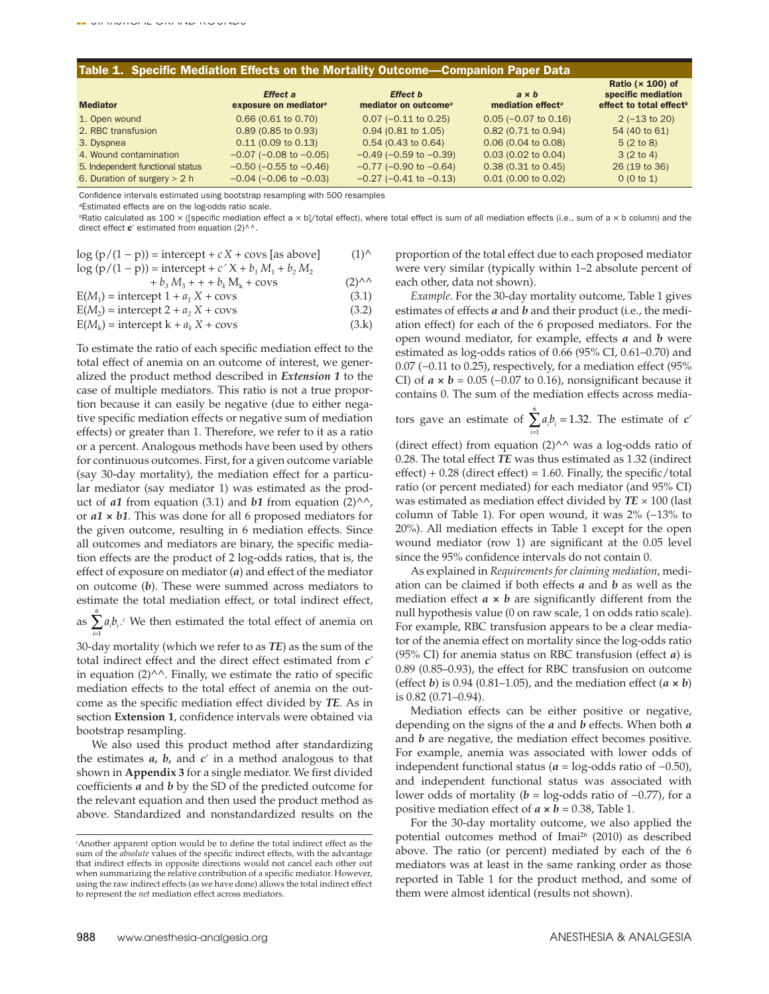|  | Table 1. Specific Mediation Effects on the Mortality Outcome—Companion Paper Data |  |
|--|-----------------------------------------------------------------------------------|--|
|  |                                                                                   |  |

| <b>Mediator</b>                  | Effect a<br>exposure on mediator <sup>a</sup> | <b>Effect b</b><br>mediator on outcome <sup>a</sup> | $a \times b$<br>mediation effect <sup>a</sup> | Ratio ( $\times$ 100) of<br>specific mediation<br>effect to total effect <sup>b</sup> |
|----------------------------------|-----------------------------------------------|-----------------------------------------------------|-----------------------------------------------|---------------------------------------------------------------------------------------|
| 1. Open wound                    | 0.66 (0.61 to 0.70)                           | $0.07$ (-0.11 to 0.25)                              | $0.05 (-0.07 \text{ to } 0.16)$               | $2(-13 \text{ to } 20)$                                                               |
| 2. RBC transfusion               | $0.89$ (0.85 to 0.93)                         | $0.94$ (0.81 to 1.05)                               | $0.82$ (0.71 to 0.94)                         | 54 (40 to 61)                                                                         |
| 3. Dyspnea                       | 0.11(0.09 to 0.13)                            | $0.54$ (0.43 to 0.64)                               | $0.06$ (0.04 to 0.08)                         | 5(2 to 8)                                                                             |
| 4. Wound contamination           | $-0.07$ ( $-0.08$ to $-0.05$ )                | $-0.49$ ( $-0.59$ to $-0.39$ )                      | $0.03$ (0.02 to 0.04)                         | 3(2 to 4)                                                                             |
| 5. Independent functional status | $-0.50$ ( $-0.55$ to $-0.46$ )                | $-0.77$ ( $-0.90$ to $-0.64$ )                      | $0.38(0.31)$ to $0.45$ )                      | 26 (19 to 36)                                                                         |
| 6. Duration of surgery $> 2 h$   | $-0.04$ ( $-0.06$ to $-0.03$ )                | $-0.27$ ( $-0.41$ to $-0.13$ )                      | $0.01$ (0.00 to 0.02)                         | 0(0 to 1)                                                                             |

Confidence intervals estimated using bootstrap resampling with 500 resamples

<sup>a</sup>Estimated effects are on the log-odds ratio scale.

<sup>b</sup>Ratio calculated as 100 × ([specific mediation effect a × b]/total effect), where total effect is sum of all mediation effects (i.e., sum of a × b column) and the direct effect  $\mathbf{c}'$  estimated from equation (2) $\wedge\wedge$ .

| $log (p/(1-p))$ = intercept + $cX$ + covs [as above]        | $(1)^{\wedge}$                                          |
|-------------------------------------------------------------|---------------------------------------------------------|
| $\log (p/(1-p))$ = intercept + $c'$ X + $b_1 M_1 + b_2 M_2$ |                                                         |
| $+ b_3 M_3 + + + b_k M_k + \text{covs}$                     | $(2)$ <sup><math>\wedge</math><math>\wedge</math></sup> |

 $E(M_1) =$  intercept  $1 + a_1 X + \text{covs}$  (3.1)

 $E(M_2) =$  intercept  $2 + a_2 X + \text{covs}$  (3.2)

 $E(M_k) =$  intercept k +  $a_k X$  + covs (3.k)

To estimate the ratio of each specific mediation effect to the total effect of anemia on an outcome of interest, we generalized the product method described in *Extension 1* to the case of multiple mediators. This ratio is not a true proportion because it can easily be negative (due to either negative specific mediation effects or negative sum of mediation effects) or greater than 1. Therefore, we refer to it as a ratio or a percent. Analogous methods have been used by others for continuous outcomes. First, for a given outcome variable (say 30-day mortality), the mediation effect for a particular mediator (say mediator 1) was estimated as the product of  $a1$  from equation (3.1) and  $b1$  from equation (2) $\wedge\wedge$ , or *a1 × b1*. This was done for all 6 proposed mediators for the given outcome, resulting in 6 mediation effects. Since all outcomes and mediators are binary, the specific mediation effects are the product of 2 log-odds ratios, that is, the effect of exposure on mediator (*a*) and effect of the mediator on outcome (*b*). These were summed across mediators to estimate the total mediation effect, or total indirect effect,

as  $\sum_{i=1}^{\infty} a_i b_i$ .<sup>*c*</sup> We then estimated the total effect of anemia on *i*= 6

30-day mortality (which we refer to as *TE*) as the sum of the total indirect effect and the direct effect estimated from *c*′ in equation  $(2)^{\wedge \wedge}$ . Finally, we estimate the ratio of specific mediation effects to the total effect of anemia on the outcome as the specific mediation effect divided by TE. As in section Extension 1, confidence intervals were obtained via bootstrap resampling.

We also used this product method after standardizing the estimates *a, b,* and *c*′ in a method analogous to that shown in **Appendix 3** for a single mediator. We first divided coefficients *a* and *b* by the SD of the predicted outcome for the relevant equation and then used the product method as above. Standardized and nonstandardized results on the proportion of the total effect due to each proposed mediator were very similar (typically within 1–2 absolute percent of each other, data not shown).

*Example*. For the 30-day mortality outcome, Table 1 gives estimates of effects *a* and *b* and their product (i.e., the mediation effect) for each of the 6 proposed mediators. For the open wound mediator, for example, effects *a* and *b* were estimated as log-odds ratios of 0.66 (95% CI, 0.61–0.70) and 0.07 (−0.11 to 0.25), respectively, for a mediation effect (95% CI) of  $a \times b = 0.05$  (-0.07 to 0.16), nonsignificant because it contains 0. The sum of the mediation effects across media-

tors gave an estimate of  $\sum_{i=1}^{6} a_i b_i = 1.32$ . The estimate of *c*<sup>*'*</sup>

(direct effect) from equation  $(2)^{\wedge\wedge}$  was a log-odds ratio of 0.28. The total effect *TE* was thus estimated as 1.32 (indirect  $effect$ ) + 0.28 (direct effect) = 1.60. Finally, the specific/total ratio (or percent mediated) for each mediator (and 95% CI) was estimated as mediation effect divided by *TE* × 100 (last column of Table 1). For open wound, it was 2% (−13% to 20%). All mediation effects in Table 1 except for the open wound mediator (row 1) are significant at the  $0.05$  level since the 95% confidence intervals do not contain 0.

As explained in *Requirements for claiming mediation*, mediation can be claimed if both effects *a* and *b* as well as the mediation effect  $a \times b$  are significantly different from the null hypothesis value (0 on raw scale, 1 on odds ratio scale). For example, RBC transfusion appears to be a clear mediator of the anemia effect on mortality since the log-odds ratio (95% CI) for anemia status on RBC transfusion (effect *a*) is 0.89 (0.85–0.93), the effect for RBC transfusion on outcome (effect *b*) is 0.94 (0.81–1.05), and the mediation effect (*a × b*) is 0.82 (0.71–0.94).

Mediation effects can be either positive or negative, depending on the signs of the *a* and *b* effects. When both *a* and *b* are negative, the mediation effect becomes positive. For example, anemia was associated with lower odds of independent functional status (*a* = log-odds ratio of −0.50), and independent functional status was associated with lower odds of mortality (*b* = log-odds ratio of −0.77), for a positive mediation effect of  $a \times b = 0.38$ , Table 1.

For the 30-day mortality outcome, we also applied the potential outcomes method of Imai26 (2010) as described above. The ratio (or percent) mediated by each of the 6 mediators was at least in the same ranking order as those reported in Table 1 for the product method, and some of them were almost identical (results not shown).

<sup>&</sup>lt;sup>c</sup>Another apparent option would be to define the total indirect effect as the sum of the *absolute* values of the specific indirect effects, with the advantage that indirect effects in opposite directions would not cancel each other out when summarizing the relative contribution of a specific mediator. However, using the raw indirect effects (as we have done) allows the total indirect effect to represent the *net* mediation effect across mediators.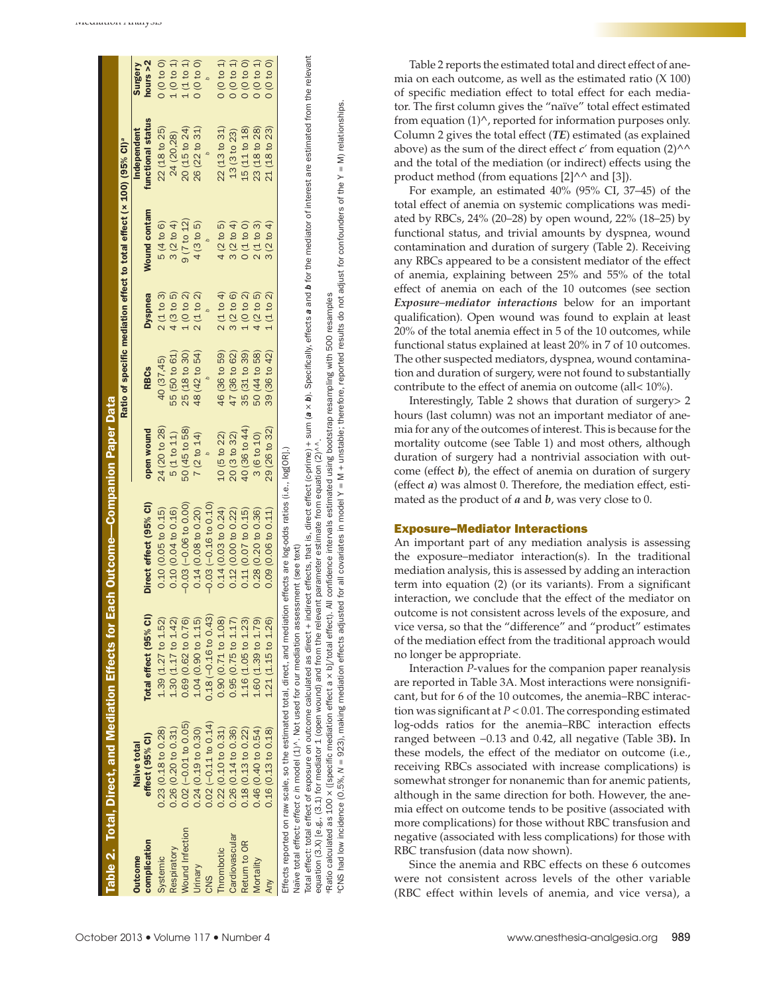|                                |                                |                                                                                              | Table 2. Total, Direct, and Mediation Effects for Each Outcome—Companion Paper Data                                       |                         |               |                |                                                                                  |                                  |                           |
|--------------------------------|--------------------------------|----------------------------------------------------------------------------------------------|---------------------------------------------------------------------------------------------------------------------------|-------------------------|---------------|----------------|----------------------------------------------------------------------------------|----------------------------------|---------------------------|
|                                |                                |                                                                                              |                                                                                                                           |                         |               |                | Ratio of specific mediation effect to total effect (x 100) (95% CI) <sup>a</sup> |                                  |                           |
| complication<br><b>Outcome</b> | effect (95% CI)<br>Naive total | Total effect (95% CI)                                                                        | Direct effect (95% CI)                                                                                                    | open wound              | <b>RBCs</b>   | <b>Dyspnea</b> | <b>Wound contam</b>                                                              | functional status<br>Independent | $100$ urs $>2$<br>Surgery |
| Systemic                       | 0.23(0.18 to 0.28)             | 1.39 (1.27 to 1.52)                                                                          | 0.10(0.05 to 0.15)                                                                                                        | 24 (20 to 28)           | 40 (37,45)    | 2(1 to 3)      | 5(4 to 6)                                                                        | 22 (18 to 25)                    | (0 t 0)                   |
| Respiratory                    | 0.26(0.20 to 0.31)             | 1.30 (1.17 to 1.42)                                                                          | 0.10 (0.04 to 0.16)                                                                                                       | 5(1 to 11)              | 55 (50 to 61) | 4(3 to 5)      | 3(2 to 4)                                                                        | 24 (20,28)                       | 1(0 to 1)                 |
| Wound Infection                | $0.02$ ( $-0.01$ to $0.05$ )   | 0.69(0.62 to 0.76)                                                                           | $-0.03$ $(-0.06$ to 0.00)                                                                                                 | 50 (45 to 58)           | 25 (18 to 30) | $1(0 to 2)$    | $9(7 \text{ to } 12)$                                                            | 20 (15 to 24)                    | (1 to 1)                  |
| <b>Urinary</b>                 | 0.24(0.19 to 0.30)             | 1.04 (0.90 to 1.15)                                                                          | 0.14(0.08 to 0.20)                                                                                                        | 7(2 to 14)              | 48 (42 to 54) | $2(1 to 2)$    | 4(3 to 5)                                                                        | 26 (22 to 31)                    | (0 t 0)                   |
| CNS                            | $0.02$ (-0.11 to 0.14)         | $0.18 (-0.16 to 0.43)$                                                                       | $-0.03$ $(-0.16$ to $0.10)$                                                                                               |                         |               |                |                                                                                  |                                  |                           |
| Thrombotic                     | 0.22(0.10 to 0.31)             | 0.90 (0.71 to 1.08)                                                                          | 0.14(0.03 to 0.24)                                                                                                        | 10 (5 to 22)            | 46 (36 to 59) | 2(1 to 4)      | 4 (2 to 5)                                                                       | 22 (13 to 31)                    | 0(0 to 1)                 |
| Cardiovascular                 | 0.26(0.14 to 0.36)             | 0.95(0.75 to 1.17)                                                                           | 0.12(0.00 to 0.22)                                                                                                        | 20 <sub>(3 to 32)</sub> | 47 (36 to 62) | 3(2 to 6)      | 3(2 to 4)                                                                        | 13 (3 to 23)                     | 0(0 to 1)                 |
| Return to OR                   | 0.18(0.13 to 0.22)             | 1.16 (1.05 to 1.23)                                                                          | 0.11(0.07 to 0.15)                                                                                                        | 40 (36 to 44)           | 35 (31 to 39) | 1(0 to 2)      | 0(1 to 0)                                                                        | 15 (11 to 18)                    | 0(0 to 0)                 |
| Mortality                      | 0.46 (0.40 to 0.54)            | 1.60 (1.39 to 1.79)                                                                          | 0.28 (0.20 to 0.36)                                                                                                       | 3 (6 to 10)             | 50 (44 to 58) | 4 (2 to 5)     | 2(1 to 3)                                                                        | 23 (18 to 28)                    | 0(0 to 1)                 |
|                                | 0.16(0.13 to 0.18)             | 1.21 (1.15 to 1.26)                                                                          | 0.09 (0.06 to 0.11)                                                                                                       | 29 (26 to 32)           | 39 (36 to 42) | (1 to 2)       | 3(2 to 4)                                                                        | 21 (18 to 23)                    | (0 to 0)                  |
|                                |                                | Naïve total effect: effect c in model (1)^. Not used for our mediation assessment (see text) | Effects reported on raw scale, so the estimated total, direct, and mediation effects are log-odds ratios (i.e., log[OR].) |                         |               |                |                                                                                  |                                  |                           |
|                                |                                |                                                                                              |                                                                                                                           |                         |               |                |                                                                                  |                                  |                           |

Total effect: total effect of exposure on outcome calculated as direct + indirect + indirect s, that is, direct effects, that is, direct (c-prime) + sum (a x b). Specifically, effects a and b for the mediator of interest a Total effect: total effect of exposure on outcome calculated as direct + indirect effects, that is, direct effect (c⊳prime) + sum (a × b). Specifically, effects a and b for the mediator of interest are estimated from the

equation (3.X) [e.g., (3.1) for mediator 1 (open wound) and from the relevant parameter estimate from equation (2)^^.

Patio calculated as 100 × ([specific mediation effect a × b]/total effect). All confidence intervals estimated using bootstrap resampling with 500 resamples<br>"CNS had low incidence (0.5%, N = 923), making mediation effects confounders of the  $Y = M$ ) relationships CNS had low incidence (0.5%, N = 923), making mediation effects adjusted for all covariates in model Y = M + unstable; therefore, reported results do not adjust for 500 resamples Ratio calculated as 100 x ([specific mediation effect a x b]/total effect). All confidence intervals estimated using bootstrap resampling with

Table 2 reports the estimated total and direct effect of anemia on each outcome, as well as the estimated ratio (X 100) of specific mediation effect to total effect for each mediator. The first column gives the "naïve" total effect estimated from equation  $(1)^\wedge$ , reported for information purposes only. Column 2 gives the total effect (*TE*) estimated (as explained above) as the sum of the direct effect  $c'$  from equation  $(2)^{*\wedge*}$ and the total of the mediation (or indirect) effects using the product method (from equations  $[2]^{\wedge \wedge}$  and  $[3]$ ).

For example, an estimated 40% (95% CI, 37–45) of the total effect of anemia on systemic complications was mediated by RBCs, 24% (20–28) by open wound, 22% (18–25) by functional status, and trivial amounts by dyspnea, wound contamination and duration of surgery (Table 2). Receiving any RBCs appeared to be a consistent mediator of the effect of anemia, explaining between 25% and 55% of the total effect of anemia on each of the 10 outcomes (see section *Exposure*–*mediator interactions* below for an important qualification). Open wound was found to explain at least 20% of the total anemia effect in 5 of the 10 outcomes, while functional status explained at least 20% in 7 of 10 outcomes. The other suspected mediators, dyspnea, wound contamination and duration of surgery, were not found to substantially contribute to the effect of anemia on outcome (all< 10%).

Interestingly, Table 2 shows that duration of surgery> 2 hours (last column) was not an important mediator of anemia for any of the outcomes of interest. This is because for the mortality outcome (see Table 1) and most others, although duration of surgery had a nontrivial association with outcome (effect *b*), the effect of anemia on duration of surgery (effect *a*) was almost 0. Therefore, the mediation effect, estimated as the product of *a* and *b*, was very close to 0.

## Exposure–Mediator Interactions

An important part of any mediation analysis is assessing the exposure–mediator interaction(s). In the traditional mediation analysis, this is assessed by adding an interaction term into equation (2) (or its variants). From a significant interaction, we conclude that the effect of the mediator on outcome is not consistent across levels of the exposure, and vice versa, so that the "difference" and "product" estimates of the mediation effect from the traditional approach would no longer be appropriate.

Interaction *P*-values for the companion paper reanalysis are reported in Table 3A. Most interactions were nonsignificant, but for 6 of the 10 outcomes, the anemia–RBC interaction was significant at  $P < 0.01$ . The corresponding estimated log-odds ratios for the anemia–RBC interaction effects ranged between −0.13 and 0.42, all negative (Table 3B**).** In these models, the effect of the mediator on outcome (i.e., receiving RBCs associated with increase complications) is somewhat stronger for nonanemic than for anemic patients, although in the same direction for both. However, the anemia effect on outcome tends to be positive (associated with more complications) for those without RBC transfusion and negative (associated with less complications) for those with RBC transfusion (data now shown).

Since the anemia and RBC effects on these 6 outcomes were not consistent across levels of the other variable (RBC effect within levels of anemia, and vice versa), a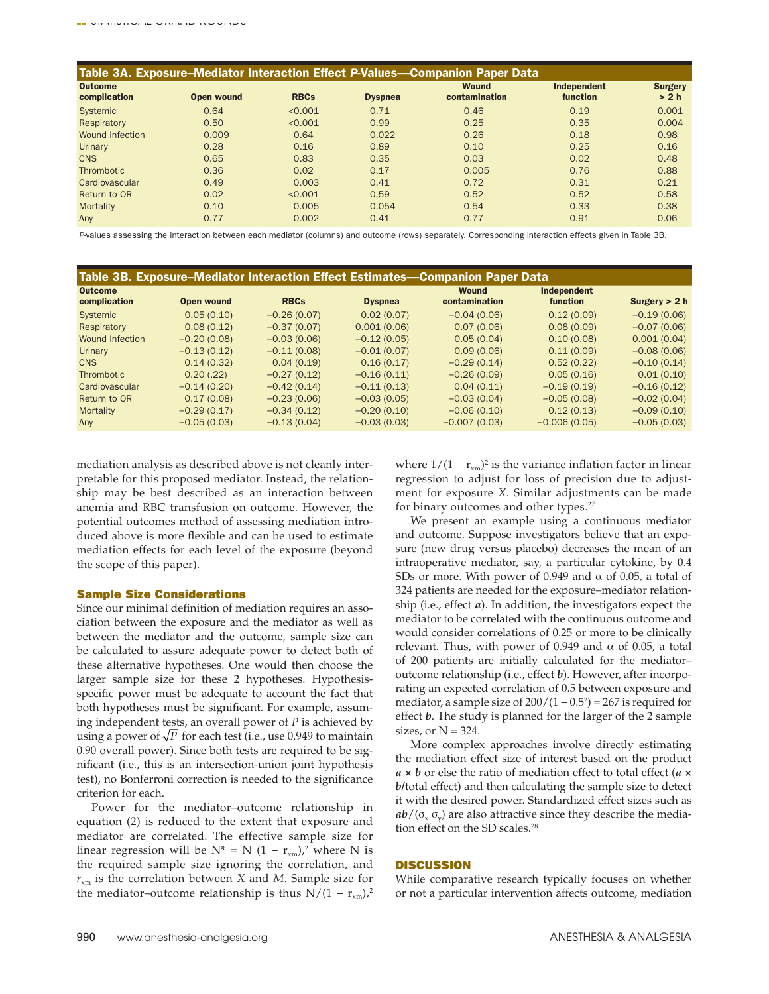|                                |            |             |                | Table 3A. Exposure–Mediator Interaction Effect P-Values–Companion Paper Data |                         |                                   |
|--------------------------------|------------|-------------|----------------|------------------------------------------------------------------------------|-------------------------|-----------------------------------|
| <b>Outcome</b><br>complication | Open wound | <b>RBCs</b> | <b>Dyspnea</b> | <b>Wound</b><br>contamination                                                | Independent<br>function | <b>Surgery</b><br>>2 <sub>h</sub> |
| Systemic                       | 0.64       | < 0.001     | 0.71           | 0.46                                                                         | 0.19                    | 0.001                             |
| Respiratory                    | 0.50       | < 0.001     | 0.99           | 0.25                                                                         | 0.35                    | 0.004                             |
| Wound Infection                | 0.009      | 0.64        | 0.022          | 0.26                                                                         | 0.18                    | 0.98                              |
| Urinary                        | 0.28       | 0.16        | 0.89           | 0.10                                                                         | 0.25                    | 0.16                              |
| <b>CNS</b>                     | 0.65       | 0.83        | 0.35           | 0.03                                                                         | 0.02                    | 0.48                              |
| Thrombotic                     | 0.36       | 0.02        | 0.17           | 0.005                                                                        | 0.76                    | 0.88                              |
| Cardiovascular                 | 0.49       | 0.003       | 0.41           | 0.72                                                                         | 0.31                    | 0.21                              |
| Return to OR                   | 0.02       | < 0.001     | 0.59           | 0.52                                                                         | 0.52                    | 0.58                              |
| Mortality                      | 0.10       | 0.005       | 0.054          | 0.54                                                                         | 0.33                    | 0.38                              |
| Any                            | 0.77       | 0.002       | 0.41           | 0.77                                                                         | 0.91                    | 0.06                              |

P-values assessing the interaction between each mediator (columns) and outcome (rows) separately. Corresponding interaction effects given in Table 3B.

|                                | Table 3B. Exposure–Mediator Interaction Effect Estimates—Companion Paper Data |               |                |                               |                         |                 |
|--------------------------------|-------------------------------------------------------------------------------|---------------|----------------|-------------------------------|-------------------------|-----------------|
| <b>Outcome</b><br>complication | Open wound                                                                    | <b>RBCs</b>   | <b>Dyspnea</b> | <b>Wound</b><br>contamination | Independent<br>function | Surgery $> 2 h$ |
| Systemic                       | 0.05(0.10)                                                                    | $-0.26(0.07)$ | 0.02(0.07)     | $-0.04(0.06)$                 | 0.12(0.09)              | $-0.19(0.06)$   |
| Respiratory                    | 0.08(0.12)                                                                    | $-0.37(0.07)$ | 0.001(0.06)    | 0.07(0.06)                    | 0.08(0.09)              | $-0.07(0.06)$   |
| Wound Infection                | $-0.20(0.08)$                                                                 | $-0.03(0.06)$ | $-0.12(0.05)$  | 0.05(0.04)                    | 0.10(0.08)              | 0.001(0.04)     |
| Urinary                        | $-0.13(0.12)$                                                                 | $-0.11(0.08)$ | $-0.01(0.07)$  | 0.09(0.06)                    | 0.11(0.09)              | $-0.08(0.06)$   |
| <b>CNS</b>                     | 0.14(0.32)                                                                    | 0.04(0.19)    | 0.16(0.17)     | $-0.29(0.14)$                 | 0.52(0.22)              | $-0.10(0.14)$   |
| <b>Thrombotic</b>              | 0.20(.22)                                                                     | $-0.27(0.12)$ | $-0.16(0.11)$  | $-0.26(0.09)$                 | 0.05(0.16)              | 0.01(0.10)      |
| Cardiovascular                 | $-0.14(0.20)$                                                                 | $-0.42(0.14)$ | $-0.11(0.13)$  | 0.04(0.11)                    | $-0.19(0.19)$           | $-0.16(0.12)$   |
| Return to OR                   | 0.17(0.08)                                                                    | $-0.23(0.06)$ | $-0.03(0.05)$  | $-0.03(0.04)$                 | $-0.05(0.08)$           | $-0.02(0.04)$   |
| Mortality                      | $-0.29(0.17)$                                                                 | $-0.34(0.12)$ | $-0.20(0.10)$  | $-0.06(0.10)$                 | 0.12(0.13)              | $-0.09(0.10)$   |
| Any                            | $-0.05(0.03)$                                                                 | $-0.13(0.04)$ | $-0.03(0.03)$  | $-0.007(0.03)$                | $-0.006(0.05)$          | $-0.05(0.03)$   |

mediation analysis as described above is not cleanly interpretable for this proposed mediator. Instead, the relationship may be best described as an interaction between anemia and RBC transfusion on outcome. However, the potential outcomes method of assessing mediation introduced above is more flexible and can be used to estimate mediation effects for each level of the exposure (beyond the scope of this paper).

## Sample Size Considerations

Since our minimal definition of mediation requires an association between the exposure and the mediator as well as between the mediator and the outcome, sample size can be calculated to assure adequate power to detect both of these alternative hypotheses. One would then choose the larger sample size for these 2 hypotheses. Hypothesisspecific power must be adequate to account the fact that both hypotheses must be significant. For example, assuming independent tests, an overall power of *P* is achieved by using a power of  $\sqrt{P}$  for each test (i.e., use 0.949 to maintain 0.90 overall power). Since both tests are required to be significant (i.e., this is an intersection-union joint hypothesis test), no Bonferroni correction is needed to the significance criterion for each.

Power for the mediator–outcome relationship in equation (2) is reduced to the extent that exposure and mediator are correlated. The effective sample size for linear regression will be  $N^* = N (1 - r_{xm})^2$  where N is the required sample size ignoring the correlation, and *r*xm is the correlation between *X* and *M*. Sample size for the mediator–outcome relationship is thus  $N/(1 - r_{xm})^2$ 

where  $1/(1 - r_{\rm xm})^2$  is the variance inflation factor in linear regression to adjust for loss of precision due to adjustment for exposure *X*. Similar adjustments can be made for binary outcomes and other types.<sup>27</sup>

We present an example using a continuous mediator and outcome. Suppose investigators believe that an exposure (new drug versus placebo) decreases the mean of an intraoperative mediator, say, a particular cytokine, by 0.4 SDs or more. With power of 0.949 and  $\alpha$  of 0.05, a total of 324 patients are needed for the exposure–mediator relationship (i.e., effect *a*). In addition, the investigators expect the mediator to be correlated with the continuous outcome and would consider correlations of 0.25 or more to be clinically relevant. Thus, with power of 0.949 and  $α$  of 0.05, a total of 200 patients are initially calculated for the mediator– outcome relationship (i.e., effect *b*). However, after incorporating an expected correlation of 0.5 between exposure and mediator, a sample size of  $200/(1 - 0.5^2) = 267$  is required for effect *b*. The study is planned for the larger of the 2 sample sizes, or  $N = 324$ .

More complex approaches involve directly estimating the mediation effect size of interest based on the product *a × b* or else the ratio of mediation effect to total effect (*a × b/*total effect) and then calculating the sample size to detect it with the desired power. Standardized effect sizes such as  $ab/(\sigma_x, \sigma_y)$  are also attractive since they describe the mediation effect on the SD scales.<sup>28</sup>

## **DISCUSSION**

While comparative research typically focuses on whether or not a particular intervention affects outcome, mediation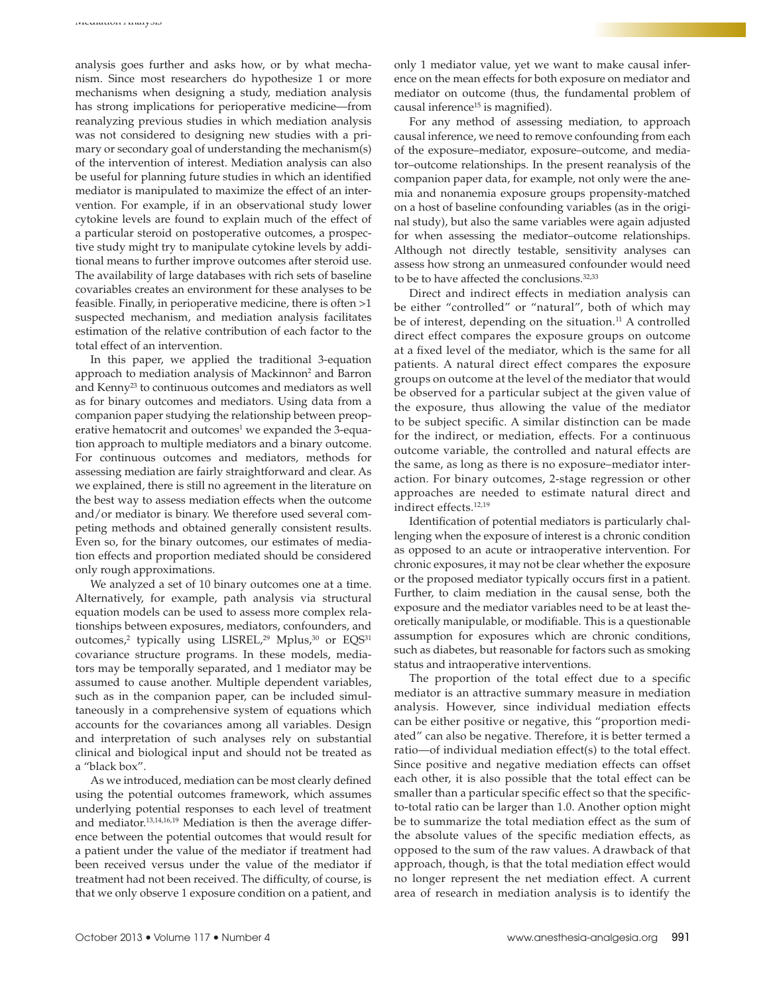analysis goes further and asks how, or by what mechanism. Since most researchers do hypothesize 1 or more mechanisms when designing a study, mediation analysis has strong implications for perioperative medicine—from reanalyzing previous studies in which mediation analysis was not considered to designing new studies with a primary or secondary goal of understanding the mechanism(s) of the intervention of interest. Mediation analysis can also be useful for planning future studies in which an identified mediator is manipulated to maximize the effect of an intervention. For example, if in an observational study lower cytokine levels are found to explain much of the effect of a particular steroid on postoperative outcomes, a prospective study might try to manipulate cytokine levels by additional means to further improve outcomes after steroid use. The availability of large databases with rich sets of baseline covariables creates an environment for these analyses to be feasible. Finally, in perioperative medicine, there is often >1 suspected mechanism, and mediation analysis facilitates estimation of the relative contribution of each factor to the total effect of an intervention.

In this paper, we applied the traditional 3-equation approach to mediation analysis of Mackinnon<sup>2</sup> and Barron and Kenny23 to continuous outcomes and mediators as well as for binary outcomes and mediators. Using data from a companion paper studying the relationship between preoperative hematocrit and outcomes<sup>1</sup> we expanded the 3-equation approach to multiple mediators and a binary outcome. For continuous outcomes and mediators, methods for assessing mediation are fairly straightforward and clear. As we explained, there is still no agreement in the literature on the best way to assess mediation effects when the outcome and/or mediator is binary. We therefore used several competing methods and obtained generally consistent results. Even so, for the binary outcomes, our estimates of mediation effects and proportion mediated should be considered only rough approximations.

We analyzed a set of 10 binary outcomes one at a time. Alternatively, for example, path analysis via structural equation models can be used to assess more complex relationships between exposures, mediators, confounders, and outcomes,<sup>2</sup> typically using LISREL,<sup>29</sup> Mplus,<sup>30</sup> or EQS<sup>31</sup> covariance structure programs. In these models, mediators may be temporally separated, and 1 mediator may be assumed to cause another. Multiple dependent variables, such as in the companion paper, can be included simultaneously in a comprehensive system of equations which accounts for the covariances among all variables. Design and interpretation of such analyses rely on substantial clinical and biological input and should not be treated as a "black box".

As we introduced, mediation can be most clearly defined using the potential outcomes framework, which assumes underlying potential responses to each level of treatment and mediator.13,14,16,19 Mediation is then the average difference between the potential outcomes that would result for a patient under the value of the mediator if treatment had been received versus under the value of the mediator if treatment had not been received. The difficulty, of course, is that we only observe 1 exposure condition on a patient, and only 1 mediator value, yet we want to make causal inference on the mean effects for both exposure on mediator and mediator on outcome (thus, the fundamental problem of causal inference<sup>15</sup> is magnified).

For any method of assessing mediation, to approach causal inference, we need to remove confounding from each of the exposure–mediator, exposure–outcome, and mediator–outcome relationships. In the present reanalysis of the companion paper data, for example, not only were the anemia and nonanemia exposure groups propensity-matched on a host of baseline confounding variables (as in the original study), but also the same variables were again adjusted for when assessing the mediator–outcome relationships. Although not directly testable, sensitivity analyses can assess how strong an unmeasured confounder would need to be to have affected the conclusions.<sup>32,33</sup>

Direct and indirect effects in mediation analysis can be either "controlled" or "natural", both of which may be of interest, depending on the situation.<sup>11</sup> A controlled direct effect compares the exposure groups on outcome at a fixed level of the mediator, which is the same for all patients. A natural direct effect compares the exposure groups on outcome at the level of the mediator that would be observed for a particular subject at the given value of the exposure, thus allowing the value of the mediator to be subject specific. A similar distinction can be made for the indirect, or mediation, effects. For a continuous outcome variable, the controlled and natural effects are the same, as long as there is no exposure–mediator interaction. For binary outcomes, 2-stage regression or other approaches are needed to estimate natural direct and indirect effects.12,19

Identification of potential mediators is particularly challenging when the exposure of interest is a chronic condition as opposed to an acute or intraoperative intervention. For chronic exposures, it may not be clear whether the exposure or the proposed mediator typically occurs first in a patient. Further, to claim mediation in the causal sense, both the exposure and the mediator variables need to be at least theoretically manipulable, or modifiable. This is a questionable assumption for exposures which are chronic conditions, such as diabetes, but reasonable for factors such as smoking status and intraoperative interventions.

The proportion of the total effect due to a specific mediator is an attractive summary measure in mediation analysis. However, since individual mediation effects can be either positive or negative, this "proportion mediated" can also be negative. Therefore, it is better termed a ratio—of individual mediation effect(s) to the total effect. Since positive and negative mediation effects can offset each other, it is also possible that the total effect can be smaller than a particular specific effect so that the specificto-total ratio can be larger than 1.0. Another option might be to summarize the total mediation effect as the sum of the absolute values of the specific mediation effects, as opposed to the sum of the raw values. A drawback of that approach, though, is that the total mediation effect would no longer represent the net mediation effect. A current area of research in mediation analysis is to identify the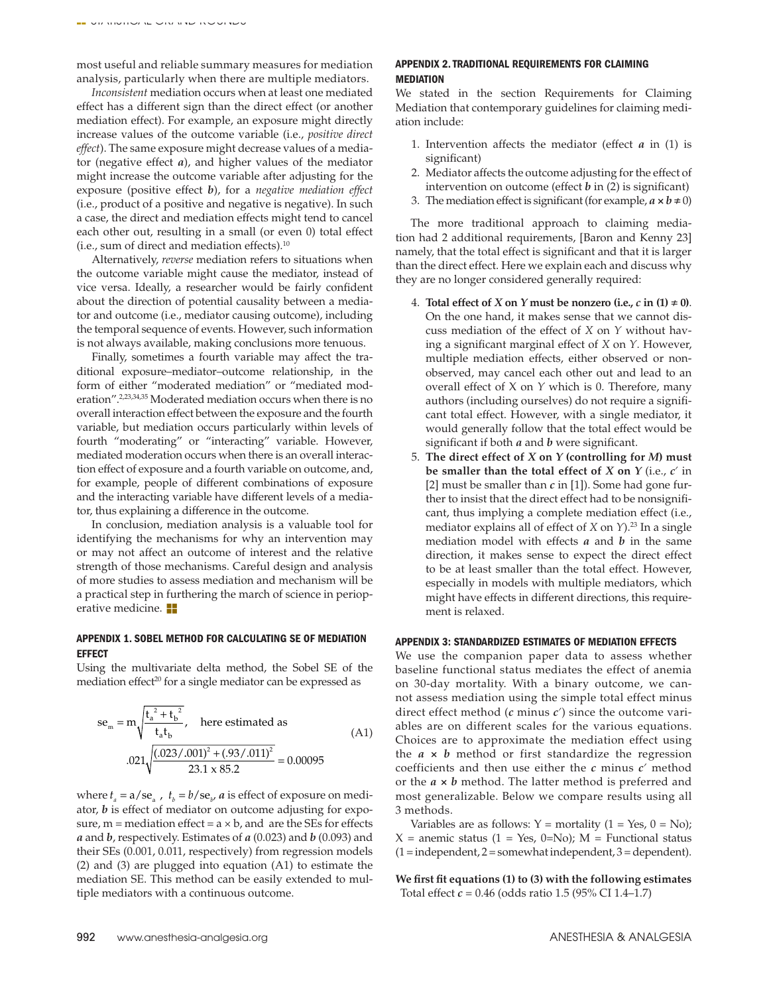most useful and reliable summary measures for mediation analysis, particularly when there are multiple mediators.

*Inconsistent* mediation occurs when at least one mediated effect has a different sign than the direct effect (or another mediation effect). For example, an exposure might directly increase values of the outcome variable (i.e., *positive direct effect*). The same exposure might decrease values of a mediator (negative effect *a*), and higher values of the mediator might increase the outcome variable after adjusting for the exposure (positive effect *b*), for a *negative mediation effect* (i.e., product of a positive and negative is negative). In such a case, the direct and mediation effects might tend to cancel each other out, resulting in a small (or even 0) total effect (i.e., sum of direct and mediation effects).10

Alternatively, *reverse* mediation refers to situations when the outcome variable might cause the mediator, instead of vice versa. Ideally, a researcher would be fairly confident about the direction of potential causality between a mediator and outcome (i.e., mediator causing outcome), including the temporal sequence of events. However, such information is not always available, making conclusions more tenuous.

Finally, sometimes a fourth variable may affect the traditional exposure–mediator–outcome relationship, in the form of either "moderated mediation" or "mediated moderation".2,23,34,35 Moderated mediation occurs when there is no overall interaction effect between the exposure and the fourth variable, but mediation occurs particularly within levels of fourth "moderating" or "interacting" variable. However, mediated moderation occurs when there is an overall interaction effect of exposure and a fourth variable on outcome, and, for example, people of different combinations of exposure and the interacting variable have different levels of a mediator, thus explaining a difference in the outcome.

In conclusion, mediation analysis is a valuable tool for identifying the mechanisms for why an intervention may or may not affect an outcome of interest and the relative strength of those mechanisms. Careful design and analysis of more studies to assess mediation and mechanism will be a practical step in furthering the march of science in perioperative medicine.

## APPENDIX 1. SOBEL METHOD FOR CALCULATING SE OF MEDIATION **EFFECT**

Using the multivariate delta method, the Sobel SE of the mediation effect<sup>20</sup> for a single mediator can be expressed as

se<sub>m</sub> = m
$$
\sqrt{\frac{t_a^2 + t_b^2}{t_a t_b}}
$$
, here estimated as  
.021 $\sqrt{\frac{(.023/.001)^2 + (.93/.011)^2}{23.1 \times 85.2}} = 0.00095$  (A1)

where  $t_a = a/sec_a$ ,  $t_b = b/sec_b$ , *a* is effect of exposure on mediator, *b* is effect of mediator on outcome adjusting for exposure,  $m =$  mediation effect =  $a \times b$ , and are the SEs for effects *a* and *b*, respectively. Estimates of *a* (0.023) and *b* (0.093) and their SEs (0.001, 0.011, respectively) from regression models (2) and (3) are plugged into equation (A1) to estimate the mediation SE. This method can be easily extended to multiple mediators with a continuous outcome.

## APPENDIX 2. TRADITIONAL REQUIREMENTS FOR CLAIMING MEDIATION

We stated in the section Requirements for Claiming Mediation that contemporary guidelines for claiming mediation include:

- 1. Intervention affects the mediator (effect *a* in (1) is significant)
- 2. Mediator affects the outcome adjusting for the effect of intervention on outcome (effect  $b$  in  $(2)$  is significant)
- 3. The mediation effect is significant (for example,  $a \times b \neq 0$ )

The more traditional approach to claiming mediation had 2 additional requirements, [Baron and Kenny 23] namely, that the total effect is significant and that it is larger than the direct effect. Here we explain each and discuss why they are no longer considered generally required:

- 4. **Total effect of** *X* **on** *Y* **must be nonzero (i.e.,** *c* **in (1)**  $\neq$  **0).** On the one hand, it makes sense that we cannot discuss mediation of the effect of *X* on *Y* without having a significant marginal effect of *X* on *Y*. However, multiple mediation effects, either observed or nonobserved, may cancel each other out and lead to an overall effect of X on *Y* which is 0. Therefore, many authors (including ourselves) do not require a significant total effect. However, with a single mediator, it would generally follow that the total effect would be significant if both  $a$  and  $b$  were significant.
- 5. **The direct effect of** *X* **on** *Y* **(controlling for** *M***) must be smaller than the total effect of** *X* **on** *Y* (i.e., *c*′ in [2] must be smaller than *c* in [1]). Some had gone further to insist that the direct effect had to be nonsignificant, thus implying a complete mediation effect (i.e., mediator explains all of effect of *X* on *Y*).23 In a single mediation model with effects *a* and *b* in the same direction, it makes sense to expect the direct effect to be at least smaller than the total effect. However, especially in models with multiple mediators, which might have effects in different directions, this requirement is relaxed.

## APPENDIX 3: STANDARDIZED ESTIMATES OF MEDIATION EFFECTS

We use the companion paper data to assess whether baseline functional status mediates the effect of anemia on 30-day mortality. With a binary outcome, we cannot assess mediation using the simple total effect minus direct effect method (*c* minus *c*′) since the outcome variables are on different scales for the various equations. Choices are to approximate the mediation effect using the *a × b* method or first standardize the regression coefficients and then use either the *c* minus *c*′ method or the *a × b* method. The latter method is preferred and most generalizable. Below we compare results using all 3 methods.

Variables are as follows:  $Y =$  mortality  $(1 = Yes, 0 = No)$ ;  $X =$  anemic status (1 = Yes, 0=No); M = Functional status  $(1 = independent, 2 = somewhat independent, 3 = dependent).$ 

**We !rst !t equations (1) to (3) with the following estimates** Total effect *c* = 0.46 (odds ratio 1.5 (95% CI 1.4–1.7)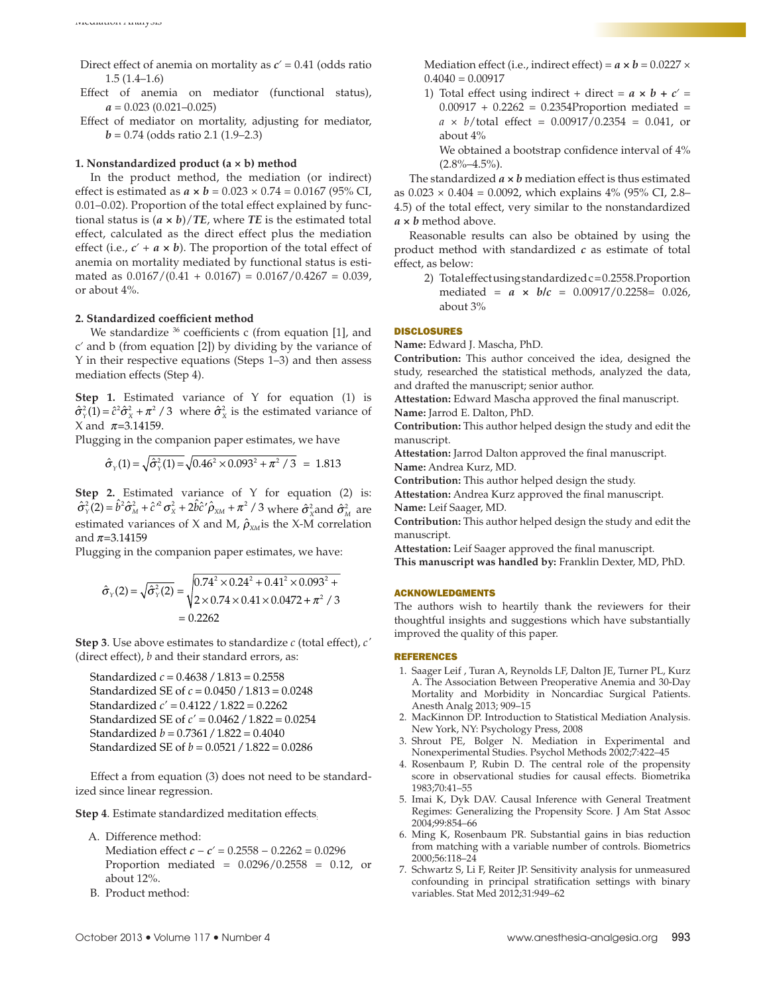Direct effect of anemia on mortality as *c*′ = 0.41 (odds ratio 1.5 (1.4–1.6)

Effect of anemia on mediator (functional status),  $a = 0.023$  (0.021–0.025)

Effect of mediator on mortality, adjusting for mediator, *b* = 0.74 (odds ratio 2.1 (1.9–2.3)

## **1. Nonstandardized product (a × b) method**

In the product method, the mediation (or indirect) effect is estimated as  $a \times b = 0.023 \times 0.74 = 0.0167$  (95% CI, 0.01–0.02). Proportion of the total effect explained by functional status is  $(a \times b)/TE$ , where *TE* is the estimated total effect, calculated as the direct effect plus the mediation effect (i.e.,  $c' + a \times b$ ). The proportion of the total effect of anemia on mortality mediated by functional status is estimated as  $0.0167/(0.41 + 0.0167) = 0.0167/0.4267 = 0.039$ , or about 4%.

## **2. Standardized coef!cient method**

We standardize  $36$  coefficients c (from equation [1], and c′ and b (from equation [2]) by dividing by the variance of Y in their respective equations (Steps 1–3) and then assess mediation effects (Step 4).

**Step 1.** Estimated variance of Y for equation (1) is  $\hat{\sigma}_Y^2(1) = \hat{c}^2 \hat{\sigma}_X^2 + \pi^2 / 3$  where  $\hat{\sigma}_X^2$  is the estimated variance of X and  $\pi = 3.14159$ .

Plugging in the companion paper estimates, we have

$$
\hat{\sigma}_Y(1) = \sqrt{\hat{\sigma}_Y^2(1)} = \sqrt{0.46^2 \times 0.093^2 + \pi^2 / 3} = 1.813
$$

**Step 2.** Estimated variance of Y for equation (2) is:  $\hat{\sigma}_Y^2(z) = \hat{b}^2 \hat{\sigma}_M^2 + \hat{c}^2 \sigma_X^2 + 2\hat{b}\hat{c}' \hat{\rho}_{XM} + \pi^2 / 3$  where  $\hat{\sigma}_X^2$  and  $\hat{\sigma}_M^2$  are estimated variances of X and M,  $\hat{\rho}_{xM}$  is the X-M correlation and  $\pi$ =3.14159

Plugging in the companion paper estimates, we have:

$$
\hat{\sigma}_Y(2) = \sqrt{\hat{\sigma}_Y^2(2)} = \sqrt{\frac{0.74^2 \times 0.24^2 + 0.41^2 \times 0.093^2 + 2 \times 0.74 \times 0.41 \times 0.0472 + \pi^2 / 3}
$$
  
= 0.2262

**Step 3**. Use above estimates to standardize *c* (total effect), *c'*  (direct effect), *b* and their standard errors, as:

Standardized  $c = 0.4638 / 1.813 = 0.2558$ Standardized SE of  $c = 0.0450 / 1.813 = 0.0248$ Standardized  $c' = 0.4122 / 1.822 = 0.2262$ Standardized SE of  $c' = 0.0462 / 1.822 = 0.0254$ Standardized  $b = 0.7361 / 1.822 = 0.4040$ Standardized SE of  $b = 0.0521 / 1.822 = 0.0286$ 

Effect a from equation (3) does not need to be standardized since linear regression.

**Step 4**. Estimate standardized meditation effects:

- A. Difference method:
- Mediation effect *c* − *c*′ = 0.2558 − 0.2262 = 0.0296 Proportion mediated =  $0.0296/0.2558$  = 0.12, or about 12%.
- B. Product method:

1) Total effect using indirect + direct =  $a \times b + c'$  =  $0.00917 + 0.2262 = 0.2354$ Proportion mediated =  $a \times b$ /total effect =  $0.00917/0.2354$  = 0.041, or about  $4\%$ 

We obtained a bootstrap confidence interval of 4%  $(2.8\% - 4.5\%)$ .

The standardized *a × b* mediation effect is thus estimated as  $0.023 \times 0.404 = 0.0092$ , which explains 4% (95% CI, 2.8– 4.5) of the total effect, very similar to the nonstandardized *a × b* method above.

Reasonable results can also be obtained by using the product method with standardized *c* as estimate of total effect, as below:

 2) Total effect using standardized c = 0.2558.Proportion mediated = *a × b/c* = 0.00917/0.2258= 0.026, about 3%

## DISCLOSURES

**Name:** Edward J. Mascha, PhD.

**Contribution:** This author conceived the idea, designed the study, researched the statistical methods, analyzed the data, and drafted the manuscript; senior author.

Attestation: Edward Mascha approved the final manuscript. **Name:** Jarrod E. Dalton, PhD.

**Contribution:** This author helped design the study and edit the manuscript.

Attestation: Jarrod Dalton approved the final manuscript. **Name:** Andrea Kurz, MD.

**Contribution:** This author helped design the study.

Attestation: Andrea Kurz approved the final manuscript. **Name:** Leif Saager, MD.

**Contribution:** This author helped design the study and edit the manuscript.

Attestation: Leif Saager approved the final manuscript. **This manuscript was handled by:** Franklin Dexter, MD, PhD.

### ACKNOWLEDGMENTS

The authors wish to heartily thank the reviewers for their thoughtful insights and suggestions which have substantially improved the quality of this paper.

#### REFERENCES

- 1. Saager Leif , Turan A, Reynolds LF, Dalton JE, Turner PL, Kurz A. The Association Between Preoperative Anemia and 30-Day Mortality and Morbidity in Noncardiac Surgical Patients. Anesth Analg 2013; 909–15
- 2. MacKinnon DP. Introduction to Statistical Mediation Analysis. New York, NY: Psychology Press, 2008
- 3. Shrout PE, Bolger N. Mediation in Experimental and Nonexperimental Studies. Psychol Methods 2002;7:422–45
- 4. Rosenbaum P, Rubin D. The central role of the propensity score in observational studies for causal effects. Biometrika 1983;70:41–55
- 5. Imai K, Dyk DAV. Causal Inference with General Treatment Regimes: Generalizing the Propensity Score. J Am Stat Assoc 2004;99:854–66
- 6. Ming K, Rosenbaum PR. Substantial gains in bias reduction from matching with a variable number of controls. Biometrics 2000;56:118–24
- 7. Schwartz S, Li F, Reiter JP. Sensitivity analysis for unmeasured confounding in principal stratification settings with binary variables. Stat Med 2012;31:949–62